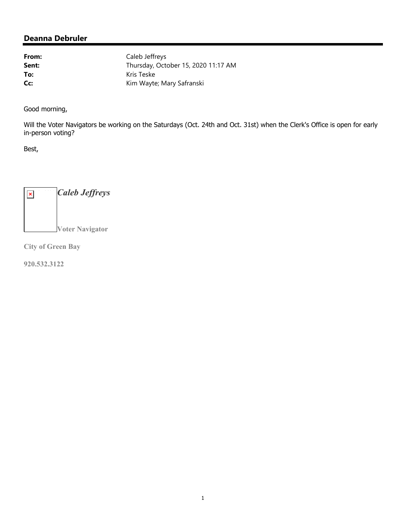From: Caleb Jeffreys **Sent:** Thursday, October 15, 2020 11:17 AM To: Kris Teske **Cc:** Kim Wayte; Mary Safranski

Good morning,

Will the Voter Navigators be working on the Saturdays (Oct. 24th and Oct. 31st) when the Clerk's Office is open for early in-person voting?

Best,

*Caleb Jeffreys*  $\pmb{\times}$ **Voter Navigator** 

**City of Green Bay**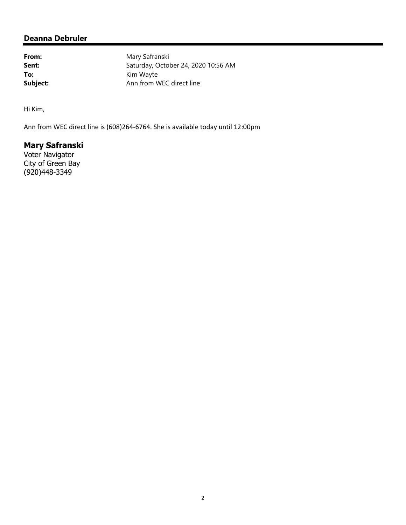From: Mary Safranski **Sent:** Saturday, October 24, 2020 10:56 AM To: Kim Wayte **Subject:** Ann from WEC direct line

Hi Kim,

Ann from WEC direct line is (608)264‐6764. She is available today until 12:00pm

# **Mary Safranski**

Voter Navigator City of Green Bay (920)448-3349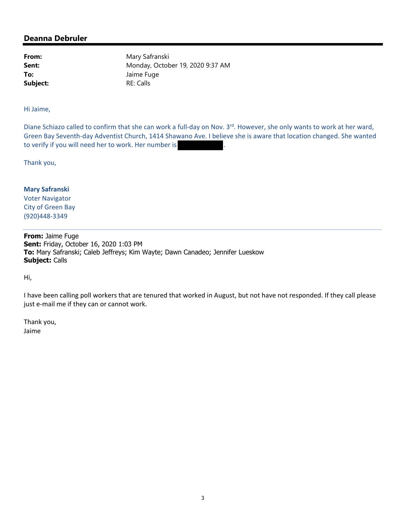**Subject:** RE: Calls

From: Mary Safranski **Sent:** Monday, October 19, 2020 9:37 AM **To:** Jaime Fuge

Hi Jaime,

Diane Schiazo called to confirm that she can work a full-day on Nov. 3<sup>rd</sup>. However, she only wants to work at her ward, Green Bay Seventh‐day Adventist Church, 1414 Shawano Ave. I believe she is aware that location changed. She wanted to verify if you will need her to work. Her number is

Thank you,

**Mary Safranski** Voter Navigator City of Green Bay (920)448‐3349

**From:** Jaime Fuge **Sent:** Friday, October 16, 2020 1:03 PM **To:** Mary Safranski; Caleb Jeffreys; Kim Wayte; Dawn Canadeo; Jennifer Lueskow **Subject:** Calls

Hi,

I have been calling poll workers that are tenured that worked in August, but not have not responded. If they call please just e-mail me if they can or cannot work.

Thank you, Jaime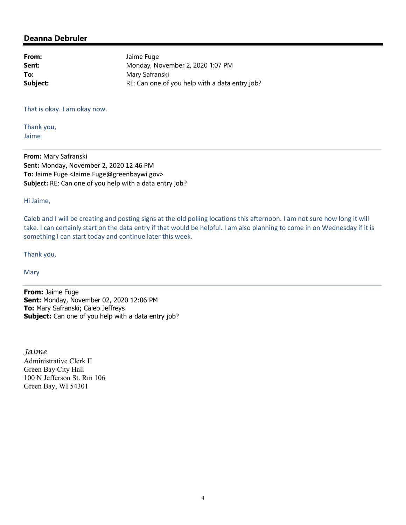| Jaime Fuge                                     |
|------------------------------------------------|
| Monday, November 2, 2020 1:07 PM               |
| Mary Safranski                                 |
| RE: Can one of you help with a data entry job? |
|                                                |

That is okay. I am okay now.

Thank you, Jaime

**From:** Mary Safranski **Sent:** Monday, November 2, 2020 12:46 PM **To:** Jaime Fuge <Jaime.Fuge@greenbaywi.gov> **Subject:** RE: Can one of you help with a data entry job?

Hi Jaime,

Caleb and I will be creating and posting signs at the old polling locations this afternoon. I am not sure how long it will take. I can certainly start on the data entry if that would be helpful. I am also planning to come in on Wednesday if it is something I can start today and continue later this week.

Thank you,

Mary

**From:** Jaime Fuge **Sent:** Monday, November 02, 2020 12:06 PM **To:** Mary Safranski; Caleb Jeffreys **Subject:** Can one of you help with a data entry job?

*Jaime*  Administrative Clerk II Green Bay City Hall 100 N Jefferson St. Rm 106 Green Bay, WI 54301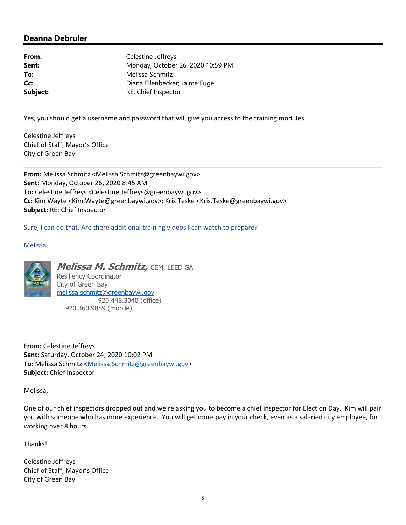**From:** Celestine Jeffreys **Sent:** Monday, October 26, 2020 10:59 PM **To:** Melissa Schmitz **Cc:** Diana Ellenbecker; Jaime Fuge **Subject:** RE: Chief Inspector

Yes, you should get a username and password that will give you access to the training modules.

Celestine Jeffreys Chief of Staff, Mayor's Office City of Green Bay

**From:** Melissa Schmitz <Melissa.Schmitz@greenbaywi.gov> **Sent:** Monday, October 26, 2020 8:45 AM **To:** Celestine Jeffreys <Celestine.Jeffreys@greenbaywi.gov> **Cc:** Kim Wayte <Kim.Wayte@greenbaywi.gov>; Kris Teske <Kris.Teske@greenbaywi.gov> **Subject:** RE: Chief Inspector

Sure, I can do that. Are there additional training videos I can watch to prepare?

Melissa



**Melissa M. Schmitz,** CEM, LEED GA Resiliency Coordinator City of Green Bay melissa.schmitz@greenbaywi.gov 920.448.3040 (office) 920.360.9889 (mobile)

**From:** Celestine Jeffreys **Sent:** Saturday, October 24, 2020 10:02 PM **To:** Melissa Schmitz <Melissa.Schmitz@greenbaywi.gov> **Subject:** Chief Inspector

Melissa,

One of our chief inspectors dropped out and we're asking you to become a chief inspector for Election Day. Kim will pair you with someone who has more experience. You will get more pay in your check, even as a salaried city employee, for working over 8 hours.

Thanks!

Celestine Jeffreys Chief of Staff, Mayor's Office City of Green Bay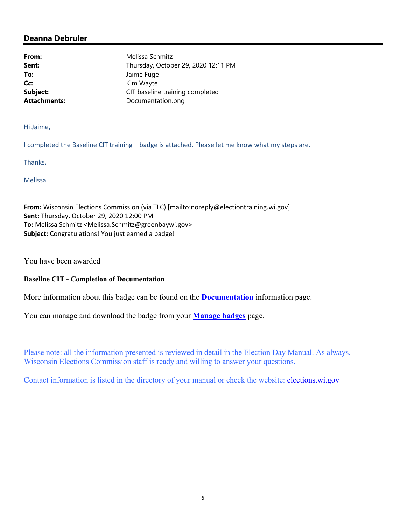**To:** Jaime Fuge **Cc:** Kim Wayte

**From:** Melissa Schmitz **Sent:** Thursday, October 29, 2020 12:11 PM **Subject:** CIT baseline training completed Attachments: Documentation.png

Hi Jaime,

I completed the Baseline CIT training – badge is attached. Please let me know what my steps are.

Thanks,

Melissa

**From:** Wisconsin Elections Commission (via TLC) [mailto:noreply@electiontraining.wi.gov] **Sent:** Thursday, October 29, 2020 12:00 PM **To:** Melissa Schmitz <Melissa.Schmitz@greenbaywi.gov> **Subject:** Congratulations! You just earned a badge!

You have been awarded

#### **Baseline CIT - Completion of Documentation**

More information about this badge can be found on the **Documentation** information page.

You can manage and download the badge from your **Manage badges** page.

Please note: all the information presented is reviewed in detail in the Election Day Manual. As always, Wisconsin Elections Commission staff is ready and willing to answer your questions.

Contact information is listed in the directory of your manual or check the website: elections.wi.gov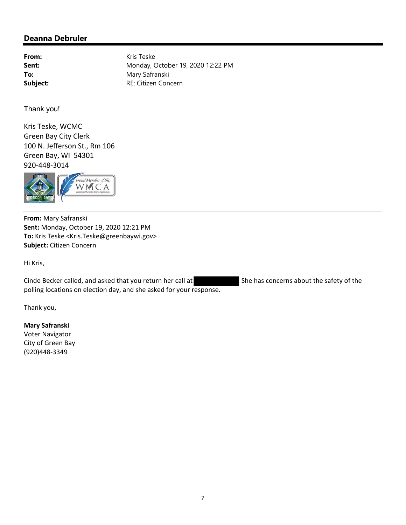From: Kris Teske **Sent:** Monday, October 19, 2020 12:22 PM To: Mary Safranski **Subject:** RE: Citizen Concern

Thank you!

Kris Teske, WCMC Green Bay City Clerk 100 N. Jefferson St., Rm 106 Green Bay, WI 54301 920‐448‐3014



**From:** Mary Safranski **Sent:** Monday, October 19, 2020 12:21 PM **To:** Kris Teske <Kris.Teske@greenbaywi.gov> **Subject:** Citizen Concern

Hi Kris,

Cinde Becker called, and asked that you return her call at She has concerns about the safety of the polling locations on election day, and she asked for your response.

Thank you,

#### **Mary Safranski**

Voter Navigator City of Green Bay (920)448‐3349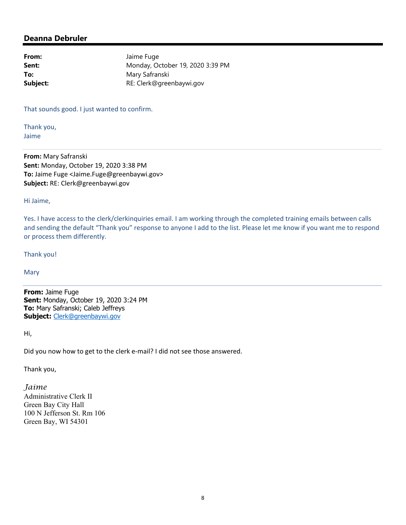From: Jaime Fuge **Sent:** Monday, October 19, 2020 3:39 PM **To:** Mary Safranski **Subject:** RE: Clerk@greenbaywi.gov

That sounds good. I just wanted to confirm.

Thank you, Jaime

**From:** Mary Safranski **Sent:** Monday, October 19, 2020 3:38 PM **To:** Jaime Fuge <Jaime.Fuge@greenbaywi.gov> **Subject:** RE: Clerk@greenbaywi.gov

Hi Jaime,

Yes. I have access to the clerk/clerkinquiries email. I am working through the completed training emails between calls and sending the default "Thank you" response to anyone I add to the list. Please let me know if you want me to respond or process them differently.

Thank you!

**Mary** 

**From:** Jaime Fuge **Sent:** Monday, October 19, 2020 3:24 PM **To:** Mary Safranski; Caleb Jeffreys **Subject:** Clerk@greenbaywi.gov

Hi,

Did you now how to get to the clerk e‐mail? I did not see those answered.

Thank you,

*Jaime*  Administrative Clerk II Green Bay City Hall 100 N Jefferson St. Rm 106 Green Bay, WI 54301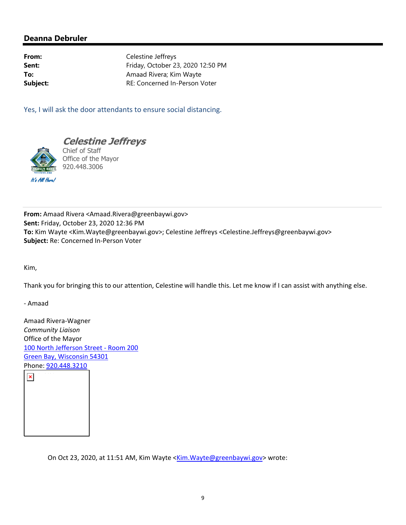**From:** Celestine Jeffreys **Sent:** Friday, October 23, 2020 12:50 PM **To:** Amaad Rivera; Kim Wayte **Subject:** RE: Concerned In-Person Voter

Yes, I will ask the door attendants to ensure social distancing.



**Celestine Jeffreys** 

Chief of Staff Office of the Mayor 920.448.3006

**From:** Amaad Rivera <Amaad.Rivera@greenbaywi.gov> **Sent:** Friday, October 23, 2020 12:36 PM **To:** Kim Wayte <Kim.Wayte@greenbaywi.gov>; Celestine Jeffreys <Celestine.Jeffreys@greenbaywi.gov> **Subject:** Re: Concerned In‐Person Voter

Kim,

Thank you for bringing this to our attention, Celestine will handle this. Let me know if I can assist with anything else.

‐ Amaad

Amaad Rivera‐Wagner *Community Liaison* Office of the Mayor 100 North Jefferson Street ‐ Room 200 Green Bay, Wisconsin 54301



On Oct 23, 2020, at 11:51 AM, Kim Wayte <Kim.Wayte@greenbaywi.gov> wrote: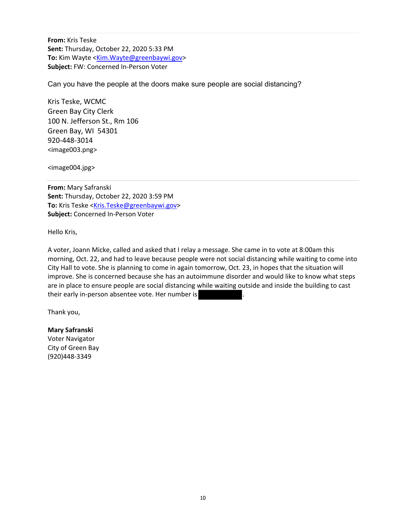**From:** Kris Teske **Sent:** Thursday, October 22, 2020 5:33 PM To: Kim Wayte <Kim.Wayte@greenbaywi.gov> **Subject:** FW: Concerned In‐Person Voter

Can you have the people at the doors make sure people are social distancing?

Kris Teske, WCMC Green Bay City Clerk 100 N. Jefferson St., Rm 106 Green Bay, WI 54301 920‐448‐3014 <image003.png>

<image004.jpg>

**From:** Mary Safranski **Sent:** Thursday, October 22, 2020 3:59 PM To: Kris Teske <Kris.Teske@greenbaywi.gov> **Subject:** Concerned In‐Person Voter

Hello Kris,

A voter, Joann Micke, called and asked that I relay a message. She came in to vote at 8:00am this morning, Oct. 22, and had to leave because people were not social distancing while waiting to come into City Hall to vote. She is planning to come in again tomorrow, Oct. 23, in hopes that the situation will improve. She is concerned because she has an autoimmune disorder and would like to know what steps are in place to ensure people are social distancing while waiting outside and inside the building to cast their early in-person absentee vote. Her number is

Thank you,

# **Mary Safranski**

Voter Navigator City of Green Bay (920)448‐3349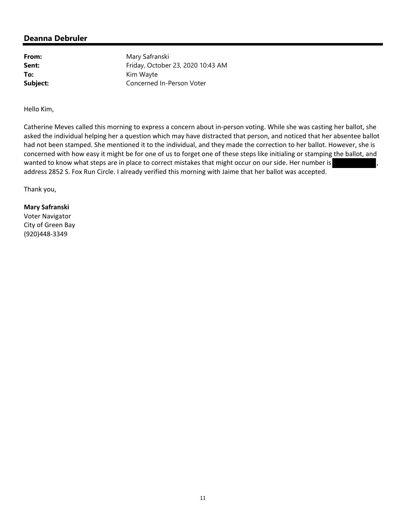**From:** Mary Safranski **Sent:** Friday, October 23, 2020 10:43 AM **To:** Kim Wayte **Subject:** Concerned In-Person Voter

Hello Kim,

Catherine Meves called this morning to express a concern about in‐person voting. While she was casting her ballot, she asked the individual helping her a question which may have distracted that person, and noticed that her absentee ballot had not been stamped. She mentioned it to the individual, and they made the correction to her ballot. However, she is concerned with how easy it might be for one of us to forget one of these steps like initialing or stamping the ballot, and wanted to know what steps are in place to correct mistakes that might occur on our side. Her number is address 2852 S. Fox Run Circle. I already verified this morning with Jaime that her ballot was accepted.

Thank you,

**Mary Safranski** Voter Navigator City of Green Bay (920)448‐3349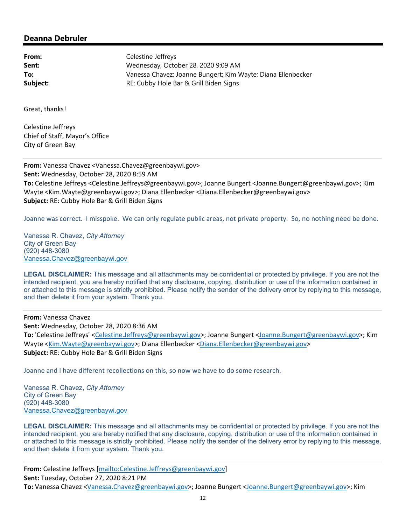**From:** Celestine Jeffreys **Sent:** Wednesday, October 28, 2020 9:09 AM **To:** Vanessa Chavez; Joanne Bungert; Kim Wayte; Diana Ellenbecker **Subject:** RE: Cubby Hole Bar & Grill Biden Signs

Great, thanks!

Celestine Jeffreys Chief of Staff, Mayor's Office City of Green Bay

**From:** Vanessa Chavez <Vanessa.Chavez@greenbaywi.gov> **Sent:** Wednesday, October 28, 2020 8:59 AM **To:** Celestine Jeffreys <Celestine.Jeffreys@greenbaywi.gov>; Joanne Bungert <Joanne.Bungert@greenbaywi.gov>; Kim Wayte <Kim.Wayte@greenbaywi.gov>; Diana Ellenbecker <Diana.Ellenbecker@greenbaywi.gov> **Subject:** RE: Cubby Hole Bar & Grill Biden Signs

Joanne was correct. I misspoke. We can only regulate public areas, not private property. So, no nothing need be done.

Vanessa R. Chavez, *City Attorney*  City of Green Bay (920) 448-3080 Vanessa.Chavez@greenbaywi.gov

**LEGAL DISCLAIMER:** This message and all attachments may be confidential or protected by privilege. If you are not the intended recipient, you are hereby notified that any disclosure, copying, distribution or use of the information contained in or attached to this message is strictly prohibited. Please notify the sender of the delivery error by replying to this message, and then delete it from your system. Thank you.

**From:** Vanessa Chavez **Sent:** Wednesday, October 28, 2020 8:36 AM **To:** 'Celestine Jeffreys' <Celestine.Jeffreys@greenbaywi.gov>; Joanne Bungert <Joanne.Bungert@greenbaywi.gov>; Kim Wayte <Kim.Wayte@greenbaywi.gov>; Diana Ellenbecker <Diana.Ellenbecker@greenbaywi.gov> **Subject:** RE: Cubby Hole Bar & Grill Biden Signs

Joanne and I have different recollections on this, so now we have to do some research.

Vanessa R. Chavez, *City Attorney*  City of Green Bay (920) 448-3080 Vanessa.Chavez@greenbaywi.gov

LEGAL DISCLAIMER: This message and all attachments may be confidential or protected by privilege. If you are not the intended recipient, you are hereby notified that any disclosure, copying, distribution or use of the information contained in or attached to this message is strictly prohibited. Please notify the sender of the delivery error by replying to this message, and then delete it from your system. Thank you.

**From:** Celestine Jeffreys [mailto:Celestine.Jeffreys@greenbaywi.gov] **Sent:** Tuesday, October 27, 2020 8:21 PM **To:** Vanessa Chavez <Vanessa.Chavez@greenbaywi.gov>; Joanne Bungert <Joanne.Bungert@greenbaywi.gov>; Kim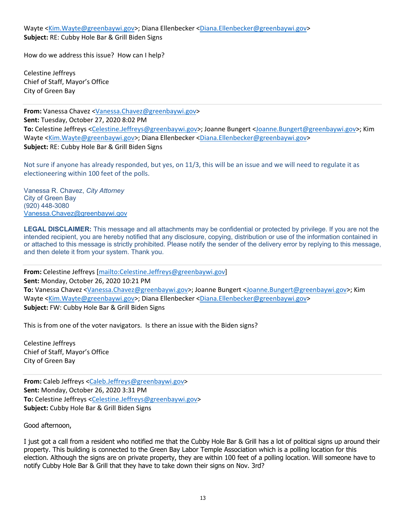Wayte <Kim.Wayte@greenbaywi.gov>; Diana Ellenbecker <Diana.Ellenbecker@greenbaywi.gov> **Subject:** RE: Cubby Hole Bar & Grill Biden Signs

How do we address this issue? How can I help?

Celestine Jeffreys Chief of Staff, Mayor's Office City of Green Bay

**From:** Vanessa Chavez <Vanessa.Chavez@greenbaywi.gov> **Sent:** Tuesday, October 27, 2020 8:02 PM **To:** Celestine Jeffreys <Celestine.Jeffreys@greenbaywi.gov>; Joanne Bungert <Joanne.Bungert@greenbaywi.gov>; Kim Wayte <Kim.Wayte@greenbaywi.gov>; Diana Ellenbecker <Diana.Ellenbecker@greenbaywi.gov> **Subject:** RE: Cubby Hole Bar & Grill Biden Signs

Not sure if anyone has already responded, but yes, on 11/3, this will be an issue and we will need to regulate it as electioneering within 100 feet of the polls.

Vanessa R. Chavez, *City Attorney*  City of Green Bay (920) 448-3080 Vanessa.Chavez@greenbaywi.gov

**LEGAL DISCLAIMER:** This message and all attachments may be confidential or protected by privilege. If you are not the intended recipient, you are hereby notified that any disclosure, copying, distribution or use of the information contained in or attached to this message is strictly prohibited. Please notify the sender of the delivery error by replying to this message, and then delete it from your system. Thank you.

**From:** Celestine Jeffreys [mailto:Celestine.Jeffreys@greenbaywi.gov] **Sent:** Monday, October 26, 2020 10:21 PM **To:** Vanessa Chavez <Vanessa.Chavez@greenbaywi.gov>; Joanne Bungert <Joanne.Bungert@greenbaywi.gov>; Kim Wayte <Kim.Wayte@greenbaywi.gov>; Diana Ellenbecker <Diana.Ellenbecker@greenbaywi.gov> **Subject:** FW: Cubby Hole Bar & Grill Biden Signs

This is from one of the voter navigators. Is there an issue with the Biden signs?

Celestine Jeffreys Chief of Staff, Mayor's Office City of Green Bay

**From:** Caleb Jeffreys <Caleb.Jeffreys@greenbaywi.gov> **Sent:** Monday, October 26, 2020 3:31 PM **To:** Celestine Jeffreys <Celestine.Jeffreys@greenbaywi.gov> **Subject:** Cubby Hole Bar & Grill Biden Signs

#### Good afternoon,

I just got a call from a resident who notified me that the Cubby Hole Bar & Grill has a lot of political signs up around their property. This building is connected to the Green Bay Labor Temple Association which is a polling location for this election. Although the signs are on private property, they are within 100 feet of a polling location. Will someone have to notify Cubby Hole Bar & Grill that they have to take down their signs on Nov. 3rd?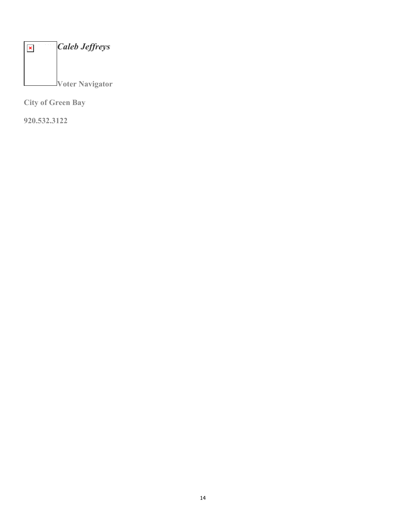| <b>Caleb Jeffreys</b>  |
|------------------------|
|                        |
| <b>Voter Navigator</b> |

**City of Green Bay**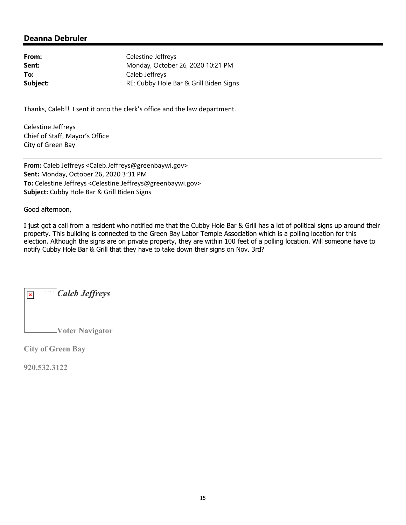| Celestine Jeffreys                     |
|----------------------------------------|
| Monday, October 26, 2020 10:21 PM      |
| Caleb Jeffreys                         |
| RE: Cubby Hole Bar & Grill Biden Signs |
|                                        |

Thanks, Caleb!! I sent it onto the clerk's office and the law department.

Celestine Jeffreys Chief of Staff, Mayor's Office City of Green Bay

**From:** Caleb Jeffreys <Caleb.Jeffreys@greenbaywi.gov> **Sent:** Monday, October 26, 2020 3:31 PM **To:** Celestine Jeffreys <Celestine.Jeffreys@greenbaywi.gov> **Subject:** Cubby Hole Bar & Grill Biden Signs

Good afternoon,

I just got a call from a resident who notified me that the Cubby Hole Bar & Grill has a lot of political signs up around their property. This building is connected to the Green Bay Labor Temple Association which is a polling location for this election. Although the signs are on private property, they are within 100 feet of a polling location. Will someone have to notify Cubby Hole Bar & Grill that they have to take down their signs on Nov. 3rd?

| <b>Caleb Jeffreys</b>  |
|------------------------|
|                        |
| <b>Voter Navigator</b> |

**City of Green Bay**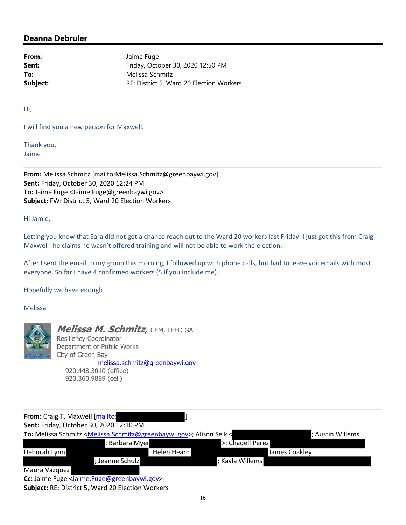From: Jaime Fuge **Sent:** Friday, October 30, 2020 12:50 PM **To:** Melissa Schmitz **Subject:** RE: District 5, Ward 20 Election Workers

Hi,

I will find you a new person for Maxwell.

Thank you, Jaime

**From:** Melissa Schmitz [mailto:Melissa.Schmitz@greenbaywi.gov] **Sent:** Friday, October 30, 2020 12:24 PM **To:** Jaime Fuge <Jaime.Fuge@greenbaywi.gov> **Subject:** FW: District 5, Ward 20 Election Workers

Hi Jamie,

Letting you know that Sara did not get a chance reach out to the Ward 20 workers last Friday. I just got this from Craig Maxwell- he claims he wasn't offered training and will not be able to work the election.

After I sent the email to my group this morning, I followed up with phone calls, but had to leave voicemails with most everyone. So far I have 4 confirmed workers (5 if you include me).

Hopefully we have enough.

Melissa



**Melissa M. Schmitz,** CEM, LEED GA Resiliency Coordinator Department of Public Works City of Green Bay melissa.schmitz@greenbaywi.gov 920.448.3040 (office) 920.360.9889 (cell)

| From: Craig T. Maxwell [mailto:                                                                         |               |                  |                  |
|---------------------------------------------------------------------------------------------------------|---------------|------------------|------------------|
| Sent: Friday, October 30, 2020 12:10 PM                                                                 |               |                  |                  |
| To: Melissa Schmitz <melissa.schmitz@greenbaywi.gov>; Alison Selk &lt;</melissa.schmitz@greenbaywi.gov> |               |                  | ; Austin Willems |
| Barbara Myer                                                                                            |               | >; Chadell Perez |                  |
| Deborah Lynn                                                                                            | ; Helen Hearn |                  | James Coakley    |
| ; Jeanne Schulz                                                                                         |               | ; Kayla Willems  |                  |
| Maura Vazquez                                                                                           |               |                  |                  |
| And International Antiques, Franco Antiquia in the case of                                              |               |                  |                  |

**Cc:** Jaime Fuge <Jaime.Fuge@greenbaywi.gov> **Subject:** RE: District 5, Ward 20 Election Workers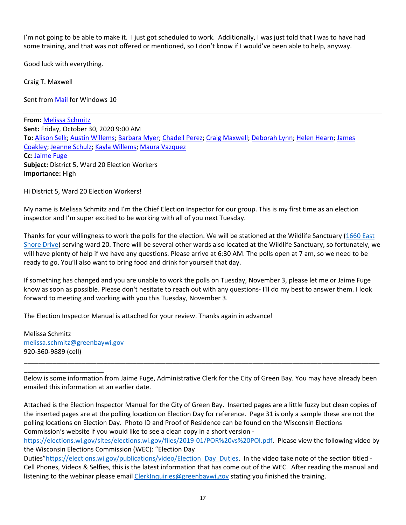I'm not going to be able to make it. I just got scheduled to work. Additionally, I was just told that I was to have had some training, and that was not offered or mentioned, so I don't know if I would've been able to help, anyway.

Good luck with everything.

Craig T. Maxwell

Sent from Mail for Windows 10

**From:** Melissa Schmitz **Sent:** Friday, October 30, 2020 9:00 AM **To:** Alison Selk; Austin Willems; Barbara Myer; Chadell Perez; Craig Maxwell; Deborah Lynn; Helen Hearn; James Coakley; Jeanne Schulz; Kayla Willems; Maura Vazquez **Cc:** Jaime Fuge **Subject:** District 5, Ward 20 Election Workers **Importance:** High

Hi District 5, Ward 20 Election Workers!

My name is Melissa Schmitz and I'm the Chief Election Inspector for our group. This is my first time as an election inspector and I'm super excited to be working with all of you next Tuesday.

Thanks for your willingness to work the polls for the election. We will be stationed at the Wildlife Sanctuary (1660 East Shore Drive) serving ward 20. There will be several other wards also located at the Wildlife Sanctuary, so fortunately, we will have plenty of help if we have any questions. Please arrive at 6:30 AM. The polls open at 7 am, so we need to be ready to go. You'll also want to bring food and drink for yourself that day.

If something has changed and you are unable to work the polls on Tuesday, November 3, please let me or Jaime Fuge know as soon as possible. Please don't hesitate to reach out with any questions- I'll do my best to answer them. I look forward to meeting and working with you this Tuesday, November 3.

The Election Inspector Manual is attached for your review. Thanks again in advance!

Melissa Schmitz melissa.schmitz@greenbaywi.gov 920‐360‐9889 (cell)

\_\_\_\_\_\_\_\_\_\_\_\_\_\_\_\_\_\_\_\_\_\_

Below is some information from Jaime Fuge, Administrative Clerk for the City of Green Bay. You may have already been emailed this information at an earlier date.

\_\_\_\_\_\_\_\_\_\_\_\_\_\_\_\_\_\_\_\_\_\_\_\_\_\_\_\_\_\_\_\_\_\_\_\_\_\_\_\_\_\_\_\_\_\_\_\_\_\_\_\_\_\_\_\_\_\_\_\_\_\_\_\_\_\_\_\_\_\_\_\_\_\_\_\_\_\_\_\_\_\_\_\_\_\_\_\_\_\_\_\_\_\_\_\_\_\_

Attached is the Election Inspector Manual for the City of Green Bay. Inserted pages are a little fuzzy but clean copies of the inserted pages are at the polling location on Election Day for reference. Page 31 is only a sample these are not the polling locations on Election Day. Photo ID and Proof of Residence can be found on the Wisconsin Elections Commission's website if you would like to see a clean copy in a short version ‐

https://elections.wi.gov/sites/elections.wi.gov/files/2019‐01/POR%20vs%20POI.pdf. Please view the following video by the Wisconsin Elections Commission (WEC): "Election Day

Duties"https://elections.wi.gov/publications/video/Election Day Duties. In the video take note of the section titled -Cell Phones, Videos & Selfies, this is the latest information that has come out of the WEC. After reading the manual and listening to the webinar please email ClerkInquiries@greenbaywi.gov stating you finished the training.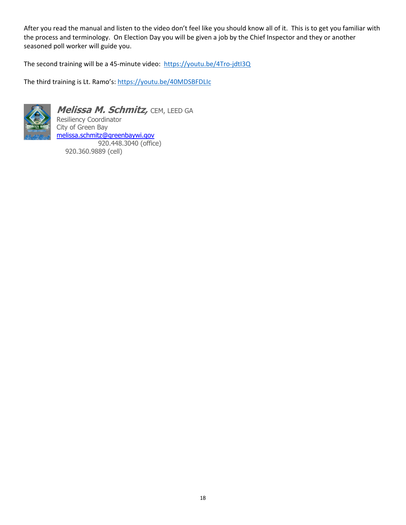After you read the manual and listen to the video don't feel like you should know all of it. This is to get you familiar with the process and terminology. On Election Day you will be given a job by the Chief Inspector and they or another seasoned poll worker will guide you.

The second training will be a 45-minute video: https://youtu.be/4Tro-jdtl3Q

The third training is Lt. Ramo's: https://youtu.be/40MDSBFDLIc



**Melissa M. Schmitz,** CEM, LEED GA Resiliency Coordinator City of Green Bay melissa.schmitz@greenbaywi.gov 920.448.3040 (office) 920.360.9889 (cell)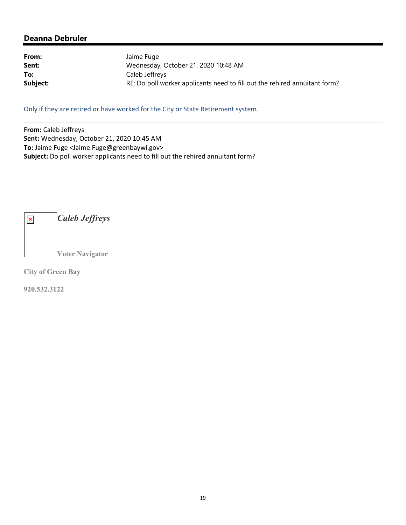| From:    | Jaime Fuge                                                                 |
|----------|----------------------------------------------------------------------------|
| Sent:    | Wednesday, October 21, 2020 10:48 AM                                       |
| To:      | Caleb Jeffreys                                                             |
| Subject: | RE: Do poll worker applicants need to fill out the rehired annuitant form? |

Only if they are retired or have worked for the City or State Retirement system.

**From:** Caleb Jeffreys **Sent:** Wednesday, October 21, 2020 10:45 AM **To:** Jaime Fuge <Jaime.Fuge@greenbaywi.gov> **Subject:** Do poll worker applicants need to fill out the rehired annuitant form?

*Caleb Jeffreys*  $\pmb{\times}$ **Voter Navigator** 

**City of Green Bay**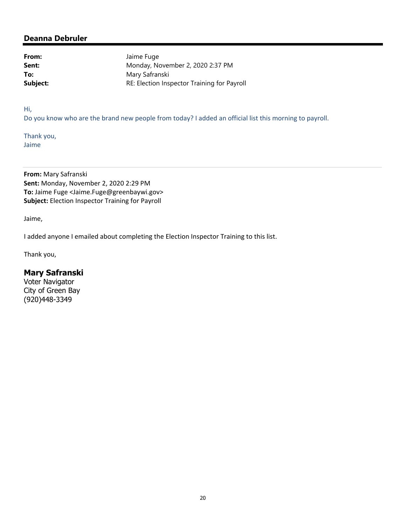From: Jaime Fuge **Sent:** Monday, November 2, 2020 2:37 PM To: Mary Safranski **Subject:** RE: Election Inspector Training for Payroll

Hi,

Do you know who are the brand new people from today? I added an official list this morning to payroll.

Thank you, Jaime

**From:** Mary Safranski **Sent:** Monday, November 2, 2020 2:29 PM **To:** Jaime Fuge <Jaime.Fuge@greenbaywi.gov> **Subject:** Election Inspector Training for Payroll

Jaime,

I added anyone I emailed about completing the Election Inspector Training to this list.

Thank you,

## **Mary Safranski**

Voter Navigator City of Green Bay (920)448-3349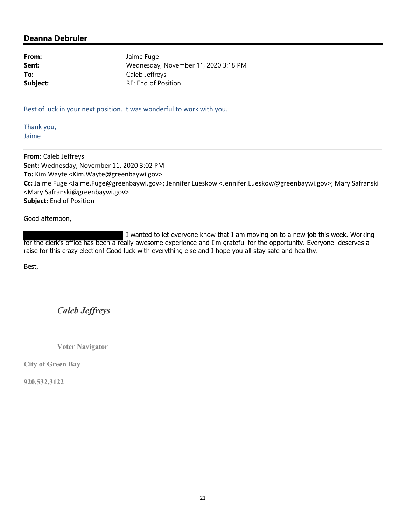From: Jaime Fuge **Sent:** Wednesday, November 11, 2020 3:18 PM **To:** Caleb Jeffreys **Subject:** RE: End of Position

Best of luck in your next position. It was wonderful to work with you.

Thank you, Jaime

**From:** Caleb Jeffreys **Sent:** Wednesday, November 11, 2020 3:02 PM **To:** Kim Wayte <Kim.Wayte@greenbaywi.gov> **Cc:** Jaime Fuge <Jaime.Fuge@greenbaywi.gov>; Jennifer Lueskow <Jennifer.Lueskow@greenbaywi.gov>; Mary Safranski <Mary.Safranski@greenbaywi.gov> **Subject:** End of Position

Good afternoon,

 I wanted to let everyone know that I am moving on to a new job this week. Working for the clerk's office has been a really awesome experience and I'm grateful for the opportunity. Everyone deserves a raise for this crazy election! Good luck with everything else and I hope you all stay safe and healthy.

Best,

*Caleb Jeffreys*

**Voter Navigator** 

**City of Green Bay**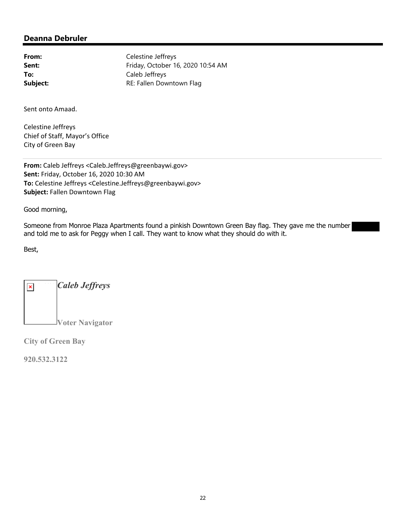From: Celestine Jeffreys **Sent:** Friday, October 16, 2020 10:54 AM **To:** Caleb Jeffreys **Subject:** RE: Fallen Downtown Flag

Sent onto Amaad.

Celestine Jeffreys Chief of Staff, Mayor's Office City of Green Bay

**From:** Caleb Jeffreys <Caleb.Jeffreys@greenbaywi.gov> **Sent:** Friday, October 16, 2020 10:30 AM **To:** Celestine Jeffreys <Celestine.Jeffreys@greenbaywi.gov> **Subject:** Fallen Downtown Flag

Good morning,

Someone from Monroe Plaza Apartments found a pinkish Downtown Green Bay flag. They gave me the number and told me to ask for Peggy when I call. They want to know what they should do with it.

Best,

*Caleb Jeffreys*  $\pmb{\times}$ **Voter Navigator** 

**City of Green Bay**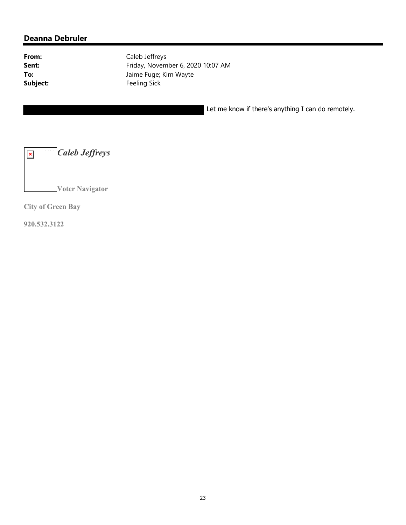From: Caleb Jeffreys **Sent:** Friday, November 6, 2020 10:07 AM **To:** Jaime Fuge; Kim Wayte Subject: Feeling Sick

Let me know if there's anything I can do remotely.

*Caleb Jeffreys*  $\pmb{\times}$ **Voter Navigator** 

**City of Green Bay**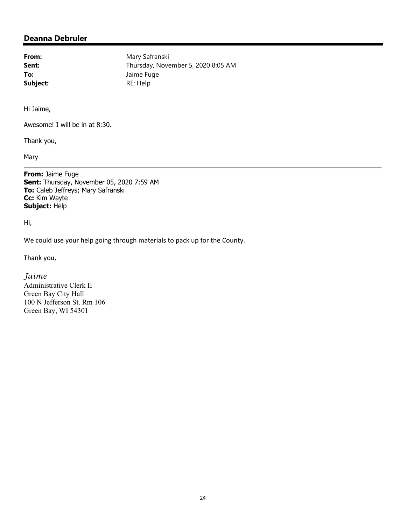From: Mary Safranski Sent: Thursday, November 5, 2020 8:05 AM **To:** Jaime Fuge Subject: RE: Help

Hi Jaime,

Awesome! I will be in at 8:30.

Thank you,

Mary

**From:** Jaime Fuge **Sent:** Thursday, November 05, 2020 7:59 AM **To:** Caleb Jeffreys; Mary Safranski **Cc:** Kim Wayte **Subject:** Help

Hi,

We could use your help going through materials to pack up for the County.

Thank you,

*Jaime*

Administrative Clerk II Green Bay City Hall 100 N Jefferson St. Rm 106 Green Bay, WI 54301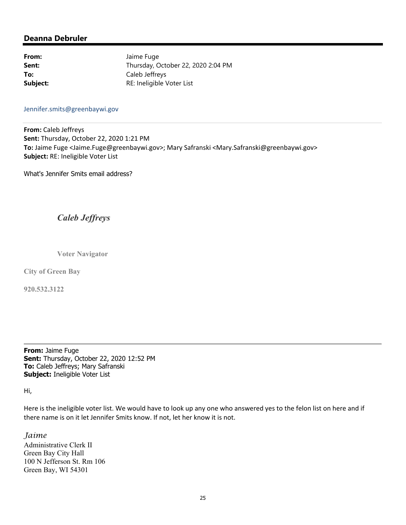From: Jaime Fuge **Sent:** Thursday, October 22, 2020 2:04 PM **To:** Caleb Jeffreys **Subject:** RE: Ineligible Voter List

#### Jennifer.smits@greenbaywi.gov

**From:** Caleb Jeffreys **Sent:** Thursday, October 22, 2020 1:21 PM **To:** Jaime Fuge <Jaime.Fuge@greenbaywi.gov>; Mary Safranski <Mary.Safranski@greenbaywi.gov> **Subject:** RE: Ineligible Voter List

What's Jennifer Smits email address?

# *Caleb Jeffreys*

**Voter Navigator** 

**City of Green Bay** 

**920.532.3122**

**From:** Jaime Fuge **Sent:** Thursday, October 22, 2020 12:52 PM **To:** Caleb Jeffreys; Mary Safranski **Subject:** Ineligible Voter List

Hi,

Here is the ineligible voter list. We would have to look up any one who answered yes to the felon list on here and if there name is on it let Jennifer Smits know. If not, let her know it is not.

#### *Jaime*

Administrative Clerk II Green Bay City Hall 100 N Jefferson St. Rm 106 Green Bay, WI 54301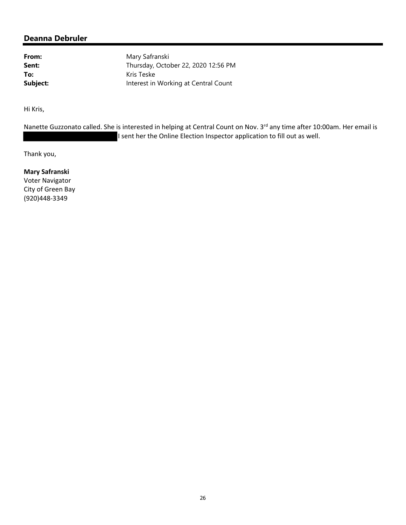From: Mary Safranski **Sent:** Thursday, October 22, 2020 12:56 PM To: Kris Teske **Subject:** Interest in Working at Central Count

Hi Kris,

Nanette Guzzonato called. She is interested in helping at Central Count on Nov. 3<sup>rd</sup> any time after 10:00am. Her email is I sent her the Online Election Inspector application to fill out as well.

Thank you,

**Mary Safranski** Voter Navigator City of Green Bay (920)448‐3349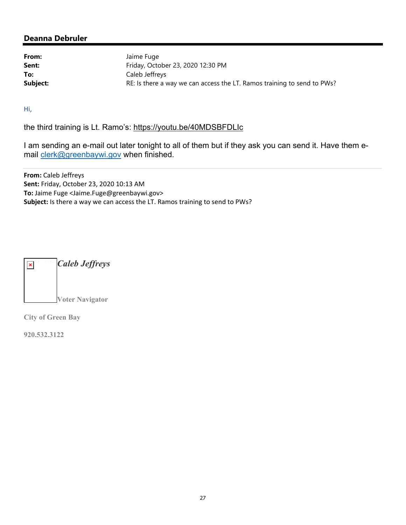From: Jaime Fuge **Sent:** Friday, October 23, 2020 12:30 PM **To:** Caleb Jeffreys **Subject:** RE: Is there a way we can access the LT. Ramos training to send to PWs?

Hi,

the third training is Lt. Ramo's: https://youtu.be/40MDSBFDLIc

I am sending an e-mail out later tonight to all of them but if they ask you can send it. Have them email clerk@greenbaywi.gov when finished.

**From:** Caleb Jeffreys **Sent:** Friday, October 23, 2020 10:13 AM **To:** Jaime Fuge <Jaime.Fuge@greenbaywi.gov> **Subject:** Is there a way we can access the LT. Ramos training to send to PWs?



**City of Green Bay**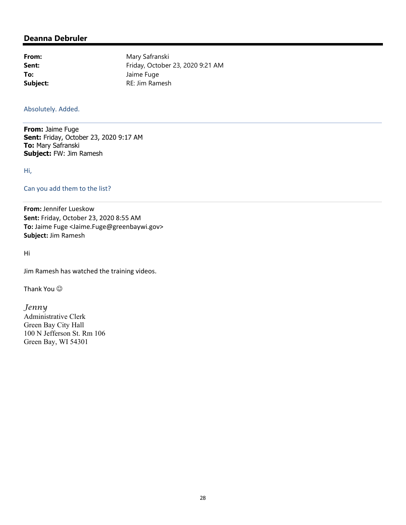From: Mary Safranski **Sent:** Friday, October 23, 2020 9:21 AM **To:** Jaime Fuge **Subject:** RE: Jim Ramesh

#### Absolutely. Added.

**From:** Jaime Fuge **Sent:** Friday, October 23, 2020 9:17 AM **To:** Mary Safranski **Subject:** FW: Jim Ramesh

Hi,

#### Can you add them to the list?

**From:** Jennifer Lueskow **Sent:** Friday, October 23, 2020 8:55 AM **To:** Jaime Fuge <Jaime.Fuge@greenbaywi.gov> **Subject:** Jim Ramesh

Hi

Jim Ramesh has watched the training videos.

Thank You  $\odot$ 

*Jenny*  Administrative Clerk Green Bay City Hall 100 N Jefferson St. Rm 106 Green Bay, WI 54301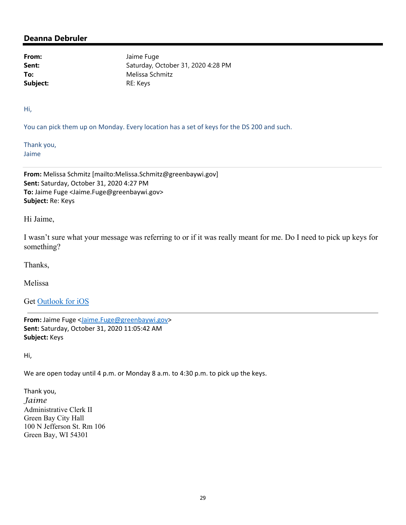From: Jaime Fuge **Sent:** Saturday, October 31, 2020 4:28 PM **To:** Melissa Schmitz Subject: RE: Keys

Hi,

You can pick them up on Monday. Every location has a set of keys for the DS 200 and such.

Thank you, Jaime

**From:** Melissa Schmitz [mailto:Melissa.Schmitz@greenbaywi.gov] **Sent:** Saturday, October 31, 2020 4:27 PM **To:** Jaime Fuge <Jaime.Fuge@greenbaywi.gov> **Subject:** Re: Keys

Hi Jaime,

I wasn't sure what your message was referring to or if it was really meant for me. Do I need to pick up keys for something?

Thanks,

Melissa

Get Outlook for iOS

**From:** Jaime Fuge <Jaime.Fuge@greenbaywi.gov> **Sent:** Saturday, October 31, 2020 11:05:42 AM **Subject:** Keys

Hi,

We are open today until 4 p.m. or Monday 8 a.m. to 4:30 p.m. to pick up the keys.

Thank you, *Jaime* Administrative Clerk II Green Bay City Hall 100 N Jefferson St. Rm 106 Green Bay, WI 54301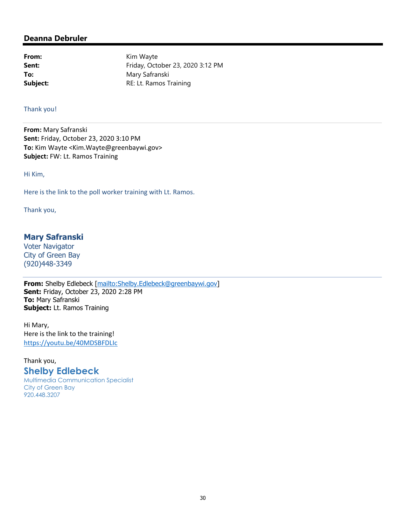From: Kim Wayte **Sent:** Friday, October 23, 2020 3:12 PM To: Mary Safranski **Subject:** RE: Lt. Ramos Training

#### Thank you!

**From:** Mary Safranski **Sent:** Friday, October 23, 2020 3:10 PM **To:** Kim Wayte <Kim.Wayte@greenbaywi.gov> **Subject:** FW: Lt. Ramos Training

Hi Kim,

Here is the link to the poll worker training with Lt. Ramos.

Thank you,

#### **Mary Safranski**

Voter Navigator City of Green Bay (920)448-3349

**From:** Shelby Edlebeck [mailto:Shelby.Edlebeck@greenbaywi.gov] **Sent:** Friday, October 23, 2020 2:28 PM **To:** Mary Safranski **Subject:** Lt. Ramos Training

Hi Mary, Here is the link to the training! https://youtu.be/40MDSBFDLIc

Thank you,

### **Shelby Edlebeck**

Multimedia Communication Specialist City of Green Bay 920.448.3207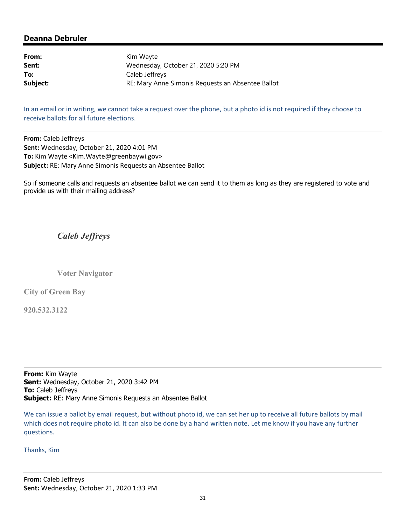| From:    | Kim Wayte                                         |
|----------|---------------------------------------------------|
| Sent:    | Wednesday, October 21, 2020 5:20 PM               |
| To:      | Caleb Jeffreys                                    |
| Subject: | RE: Mary Anne Simonis Requests an Absentee Ballot |

In an email or in writing, we cannot take a request over the phone, but a photo id is not required if they choose to receive ballots for all future elections.

**From:** Caleb Jeffreys **Sent:** Wednesday, October 21, 2020 4:01 PM **To:** Kim Wayte <Kim.Wayte@greenbaywi.gov> **Subject:** RE: Mary Anne Simonis Requests an Absentee Ballot

So if someone calls and requests an absentee ballot we can send it to them as long as they are registered to vote and provide us with their mailing address?

# *Caleb Jeffreys*

**Voter Navigator** 

**City of Green Bay** 

**920.532.3122**

**From:** Kim Wayte **Sent:** Wednesday, October 21, 2020 3:42 PM **To:** Caleb Jeffreys **Subject:** RE: Mary Anne Simonis Requests an Absentee Ballot

We can issue a ballot by email request, but without photo id, we can set her up to receive all future ballots by mail which does not require photo id. It can also be done by a hand written note. Let me know if you have any further questions.

Thanks, Kim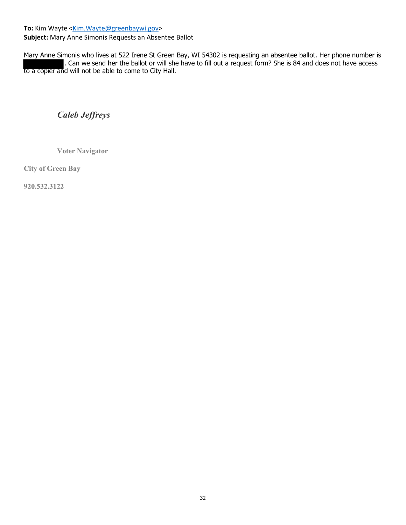To: Kim Wayte <Kim.Wayte@greenbaywi.gov>

**Subject:** Mary Anne Simonis Requests an Absentee Ballot

Mary Anne Simonis who lives at 522 Irene St Green Bay, WI 54302 is requesting an absentee ballot. Her phone number is . Can we send her the ballot or will she have to fill out a request form? She is 84 and does not have access to a copier and will not be able to come to City Hall.

*Caleb Jeffreys*

**Voter Navigator** 

**City of Green Bay**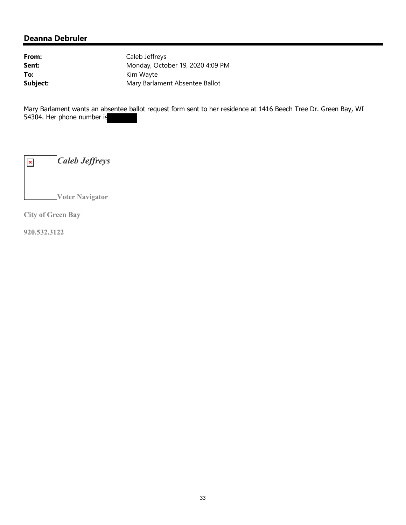From: Caleb Jeffreys **Sent:** Monday, October 19, 2020 4:09 PM To: Kim Wayte **Subject:** Mary Barlament Absentee Ballot

Mary Barlament wants an absentee ballot request form sent to her residence at 1416 Beech Tree Dr. Green Bay, WI 54304. Her phone number is

*Caleb Jeffreys*  $\pmb{\times}$ **Voter Navigator** 

**City of Green Bay**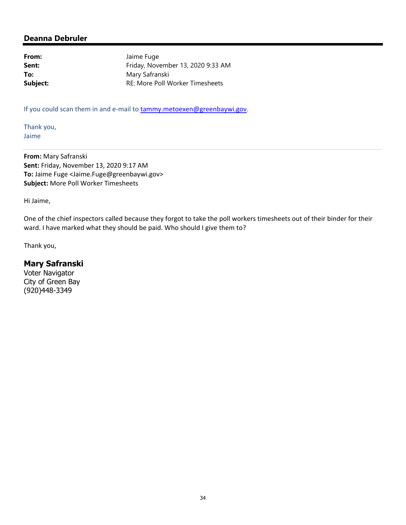From: Jaime Fuge **Sent:** Friday, November 13, 2020 9:33 AM To: Mary Safranski **Subject:** RE: More Poll Worker Timesheets

If you could scan them in and e-mail to tammy.metoexen@greenbaywi.gov.

Thank you, Jaime

**From:** Mary Safranski **Sent:** Friday, November 13, 2020 9:17 AM **To:** Jaime Fuge <Jaime.Fuge@greenbaywi.gov> **Subject:** More Poll Worker Timesheets

Hi Jaime,

One of the chief inspectors called because they forgot to take the poll workers timesheets out of their binder for their ward. I have marked what they should be paid. Who should I give them to?

Thank you,

### **Mary Safranski**

Voter Navigator City of Green Bay (920)448-3349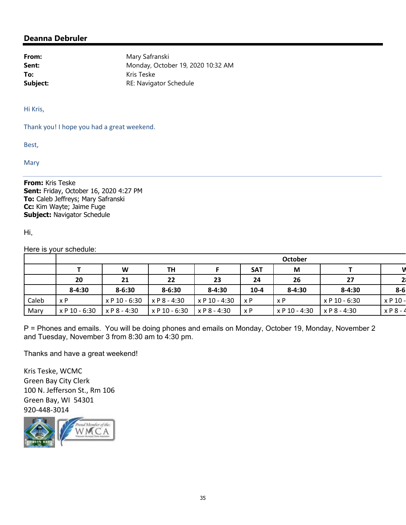**From:** Mary Safranski **Sent:** Monday, October 19, 2020 10:32 AM **To:** Kris Teske **Subject:** RE: Navigator Schedule

Hi Kris,

Thank you! I hope you had a great weekend.

Best,

**Mary** 

**From:** Kris Teske **Sent:** Friday, October 16, 2020 4:27 PM **To:** Caleb Jeffreys; Mary Safranski **Cc:** Kim Wayte; Jaime Fuge **Subject:** Navigator Schedule

Hi,

Here is your schedule:

|       | <b>October</b> |               |               |               |            |               |                |                |
|-------|----------------|---------------|---------------|---------------|------------|---------------|----------------|----------------|
|       |                | W             | <b>TH</b>     |               | <b>SAT</b> | M             |                | v              |
|       | 20             | 21            | 22            | 23            | 24         | 26            | 27             | 2 <sub>l</sub> |
|       | $8 - 4:30$     | $8 - 6:30$    | $8 - 6:30$    | $8 - 4:30$    | $10-4$     | $8 - 4:30$    | $8 - 4:30$     | $8-6$          |
| Caleb | x P            | x P 10 - 6:30 | x P 8 - 4:30  | x P 10 - 4:30 | x P        | x P           | x P 10 - 6:30  | $x P 10 -$     |
| Mary  | x P 10 - 6:30  | x P 8 - 4:30  | x P 10 - 6:30 | x P 8 - 4:30  | x P        | x P 10 - 4:30 | $x P 8 - 4:30$ | $x P 8 - 4$    |

P = Phones and emails. You will be doing phones and emails on Monday, October 19, Monday, November 2 and Tuesday, November 3 from 8:30 am to 4:30 pm.

Thanks and have a great weekend!

Kris Teske, WCMC Green Bay City Clerk 100 N. Jefferson St., Rm 106 Green Bay, WI 54301 920‐448‐3014

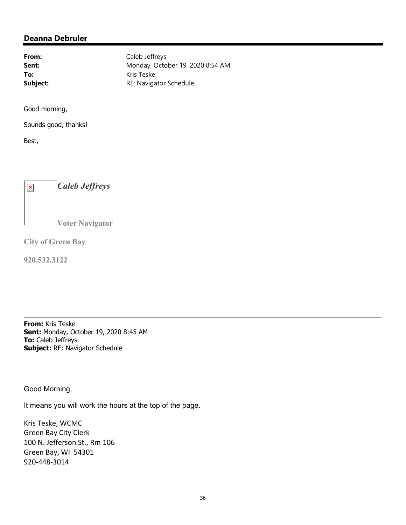From: Caleb Jeffreys **Sent:** Monday, October 19, 2020 8:54 AM **To:** Kris Teske **Subject:** RE: Navigator Schedule

Good morning,

Sounds good, thanks!

Best,



**City of Green Bay** 

**920.532.3122**

**From:** Kris Teske **Sent:** Monday, October 19, 2020 8:45 AM **To:** Caleb Jeffreys **Subject:** RE: Navigator Schedule

Good Morning,

It means you will work the hours at the top of the page.

Kris Teske, WCMC Green Bay City Clerk 100 N. Jefferson St., Rm 106 Green Bay, WI 54301 920‐448‐3014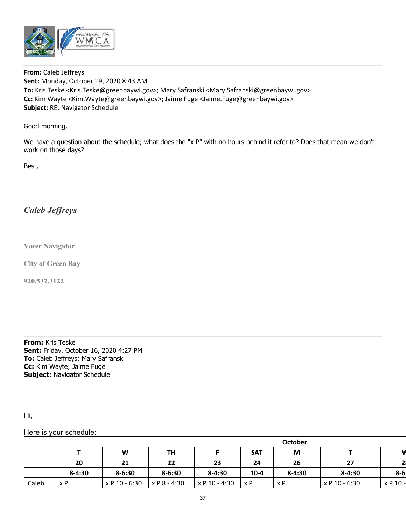

**From:** Caleb Jeffreys **Sent:** Monday, October 19, 2020 8:43 AM **To:** Kris Teske <Kris.Teske@greenbaywi.gov>; Mary Safranski <Mary.Safranski@greenbaywi.gov> **Cc:** Kim Wayte <Kim.Wayte@greenbaywi.gov>; Jaime Fuge <Jaime.Fuge@greenbaywi.gov> **Subject:** RE: Navigator Schedule

#### Good morning,

We have a question about the schedule; what does the "x P" with no hours behind it refer to? Does that mean we don't work on those days?

Best,

# *Caleb Jeffreys*

**Voter Navigator** 

**City of Green Bay** 

**920.532.3122**

**From:** Kris Teske **Sent:** Friday, October 16, 2020 4:27 PM **To:** Caleb Jeffreys; Mary Safranski **Cc:** Kim Wayte; Jaime Fuge **Subject:** Navigator Schedule

Hi,

#### Here is your schedule:

|       | <b>October</b> |               |              |               |            |            |               |                |
|-------|----------------|---------------|--------------|---------------|------------|------------|---------------|----------------|
|       |                | W             | TΗ           |               | <b>SAT</b> | M          |               |                |
|       | 20             | 21            | 22           | 23            | 24         | 26         | 27            | 2 <sub>1</sub> |
|       | $8 - 4:30$     | $8 - 6:30$    | $8 - 6:30$   | $8 - 4:30$    | $10 - 4$   | $8 - 4:30$ | $8 - 4:30$    | $8-6$          |
| Caleb | x P            | x P 10 - 6:30 | x P 8 - 4:30 | x P 10 - 4:30 | x P        | x P        | x P 10 - 6:30 | x P 10 -       |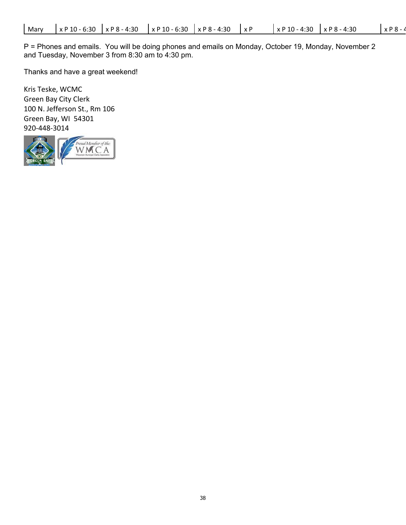P = Phones and emails. You will be doing phones and emails on Monday, October 19, Monday, November 2 and Tuesday, November 3 from 8:30 am to 4:30 pm.

Thanks and have a great weekend!

Kris Teske, WCMC Green Bay City Clerk 100 N. Jefferson St., Rm 106 Green Bay, WI 54301 920‐448‐3014

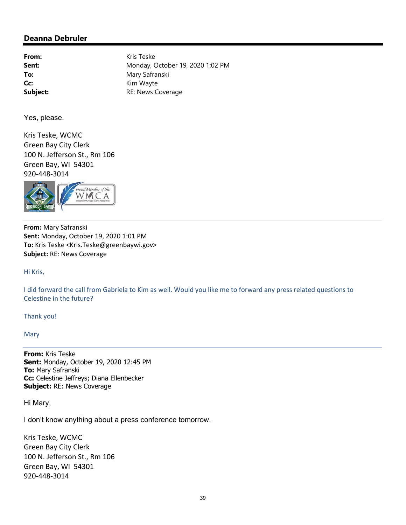**From:** Kris Teske **Sent:** Monday, October 19, 2020 1:02 PM To: Mary Safranski Cc: Kim Wayte **Subject:** RE: News Coverage

Yes, please.

Kris Teske, WCMC Green Bay City Clerk 100 N. Jefferson St., Rm 106 Green Bay, WI 54301 920‐448‐3014



**From:** Mary Safranski **Sent:** Monday, October 19, 2020 1:01 PM **To:** Kris Teske <Kris.Teske@greenbaywi.gov> **Subject:** RE: News Coverage

Hi Kris,

I did forward the call from Gabriela to Kim as well. Would you like me to forward any press related questions to Celestine in the future?

Thank you!

Mary

**From:** Kris Teske **Sent:** Monday, October 19, 2020 12:45 PM **To:** Mary Safranski **Cc:** Celestine Jeffreys; Diana Ellenbecker **Subject:** RE: News Coverage

Hi Mary,

I don't know anything about a press conference tomorrow.

Kris Teske, WCMC Green Bay City Clerk 100 N. Jefferson St., Rm 106 Green Bay, WI 54301 920‐448‐3014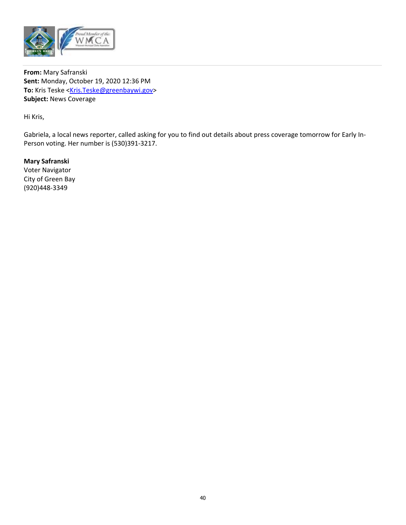

**From:** Mary Safranski **Sent:** Monday, October 19, 2020 12:36 PM To: Kris Teske <Kris.Teske@greenbaywi.gov> **Subject:** News Coverage

Hi Kris,

Gabriela, a local news reporter, called asking for you to find out details about press coverage tomorrow for Early In‐ Person voting. Her number is (530)391‐3217.

**Mary Safranski** Voter Navigator City of Green Bay (920)448‐3349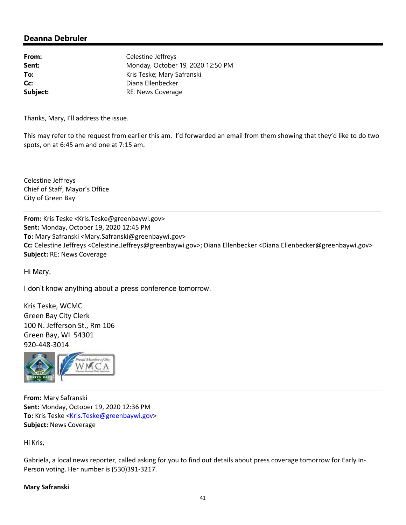**From:** Celestine Jeffreys **Sent:** Monday, October 19, 2020 12:50 PM **To:** Kris Teske; Mary Safranski **Cc:** Diana Ellenbecker **Subject:** RE: News Coverage

Thanks, Mary, I'll address the issue.

This may refer to the request from earlier this am. I'd forwarded an email from them showing that they'd like to do two spots, on at 6:45 am and one at 7:15 am.

Celestine Jeffreys Chief of Staff, Mayor's Office City of Green Bay

**From:** Kris Teske <Kris.Teske@greenbaywi.gov> **Sent:** Monday, October 19, 2020 12:45 PM **To:** Mary Safranski <Mary.Safranski@greenbaywi.gov> **Cc:** Celestine Jeffreys <Celestine.Jeffreys@greenbaywi.gov>; Diana Ellenbecker <Diana.Ellenbecker@greenbaywi.gov> **Subject:** RE: News Coverage

Hi Mary,

I don't know anything about a press conference tomorrow.

Kris Teske, WCMC Green Bay City Clerk 100 N. Jefferson St., Rm 106 Green Bay, WI 54301 920‐448‐3014



**From:** Mary Safranski **Sent:** Monday, October 19, 2020 12:36 PM To: Kris Teske <Kris.Teske@greenbaywi.gov> **Subject:** News Coverage

Hi Kris,

Gabriela, a local news reporter, called asking for you to find out details about press coverage tomorrow for Early In‐ Person voting. Her number is (530)391‐3217.

#### **Mary Safranski**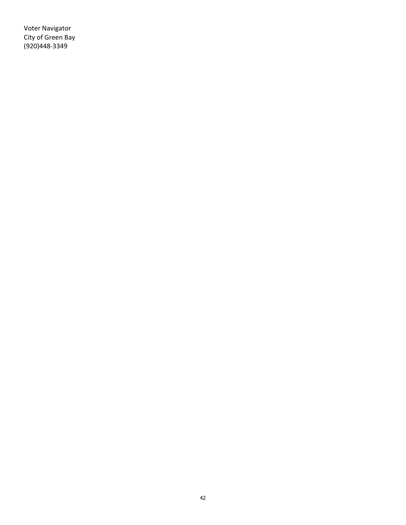Voter Navigator City of Green Bay (920)448‐3349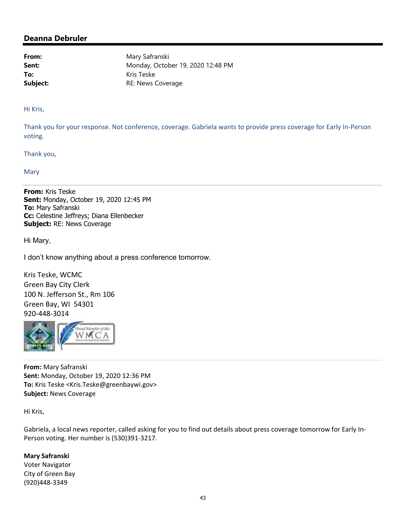From: Mary Safranski **Sent:** Monday, October 19, 2020 12:48 PM To: Kris Teske **Subject:** RE: News Coverage

Hi Kris,

Thank you for your response. Not conference, coverage. Gabriela wants to provide press coverage for Early In‐Person voting.

Thank you,

Mary

**From:** Kris Teske **Sent:** Monday, October 19, 2020 12:45 PM **To:** Mary Safranski **Cc:** Celestine Jeffreys; Diana Ellenbecker **Subject:** RE: News Coverage

Hi Mary,

I don't know anything about a press conference tomorrow.

Kris Teske, WCMC Green Bay City Clerk 100 N. Jefferson St., Rm 106 Green Bay, WI 54301 920‐448‐3014



**From:** Mary Safranski **Sent:** Monday, October 19, 2020 12:36 PM **To:** Kris Teske <Kris.Teske@greenbaywi.gov> **Subject:** News Coverage

Hi Kris,

Gabriela, a local news reporter, called asking for you to find out details about press coverage tomorrow for Early In‐ Person voting. Her number is (530)391‐3217.

**Mary Safranski** Voter Navigator City of Green Bay (920)448‐3349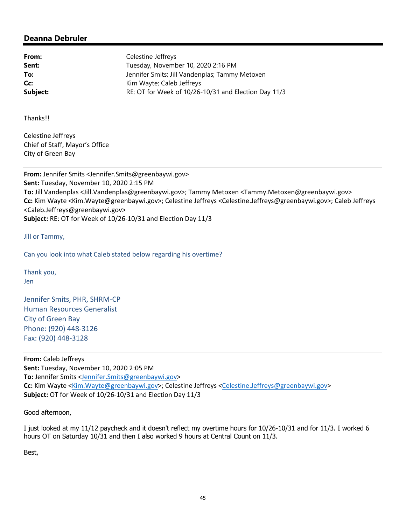**From:** Celestine Jeffreys Sent: Tuesday, November 10, 2020 2:16 PM **To:** Jennifer Smits; Jill Vandenplas; Tammy Metoxen **Cc:** Kim Wayte; Caleb Jeffreys **Subject:** RE: OT for Week of 10/26-10/31 and Election Day 11/3

Thanks!!

Celestine Jeffreys Chief of Staff, Mayor's Office City of Green Bay

**From:** Jennifer Smits <Jennifer.Smits@greenbaywi.gov> **Sent:** Tuesday, November 10, 2020 2:15 PM **To:** Jill Vandenplas <Jill.Vandenplas@greenbaywi.gov>; Tammy Metoxen <Tammy.Metoxen@greenbaywi.gov> **Cc:** Kim Wayte <Kim.Wayte@greenbaywi.gov>; Celestine Jeffreys <Celestine.Jeffreys@greenbaywi.gov>; Caleb Jeffreys <Caleb.Jeffreys@greenbaywi.gov> **Subject:** RE: OT for Week of 10/26‐10/31 and Election Day 11/3

Jill or Tammy,

Can you look into what Caleb stated below regarding his overtime?

Thank you, Jen

Jennifer Smits, PHR, SHRM‐CP Human Resources Generalist City of Green Bay Phone: (920) 448‐3126 Fax: (920) 448‐3128

**From:** Caleb Jeffreys **Sent:** Tuesday, November 10, 2020 2:05 PM **To:** Jennifer Smits <Jennifer.Smits@greenbaywi.gov> Cc: Kim Wayte <Kim.Wayte@greenbaywi.gov>; Celestine Jeffreys <Celestine.Jeffreys@greenbaywi.gov> **Subject:** OT for Week of 10/26‐10/31 and Election Day 11/3

Good afternoon,

I just looked at my 11/12 paycheck and it doesn't reflect my overtime hours for 10/26-10/31 and for 11/3. I worked 6 hours OT on Saturday 10/31 and then I also worked 9 hours at Central Count on 11/3.

Best,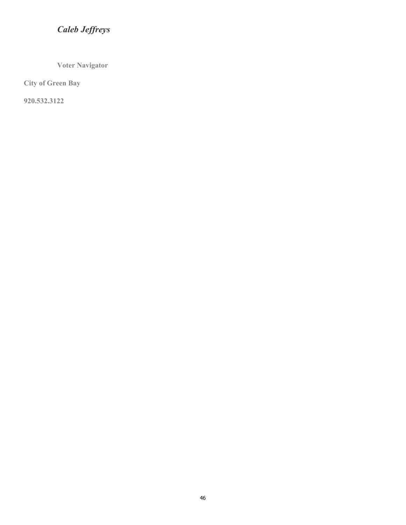# *Caleb Jeffreys*

**Voter Navigator** 

**City of Green Bay** 

**920.532.3122**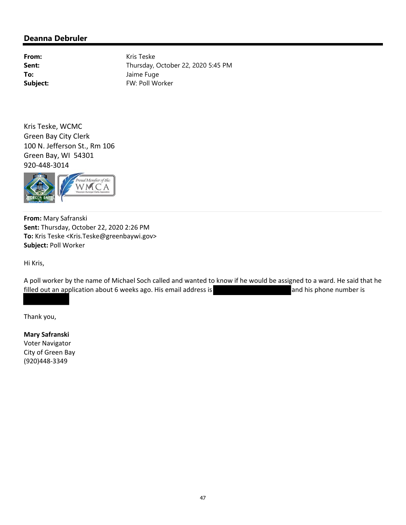From: Kris Teske **Sent:** Thursday, October 22, 2020 5:45 PM **To:** Jaime Fuge Subject: FW: Poll Worker

Kris Teske, WCMC Green Bay City Clerk 100 N. Jefferson St., Rm 106 Green Bay, WI 54301 920‐448‐3014



**From:** Mary Safranski **Sent:** Thursday, October 22, 2020 2:26 PM **To:** Kris Teske <Kris.Teske@greenbaywi.gov> **Subject:** Poll Worker

Hi Kris,

A poll worker by the name of Michael Soch called and wanted to know if he would be assigned to a ward. He said that he filled out an application about 6 weeks ago. His email address is **and his phone number is** and his phone number is

Thank you,

**Mary Safranski** Voter Navigator City of Green Bay (920)448‐3349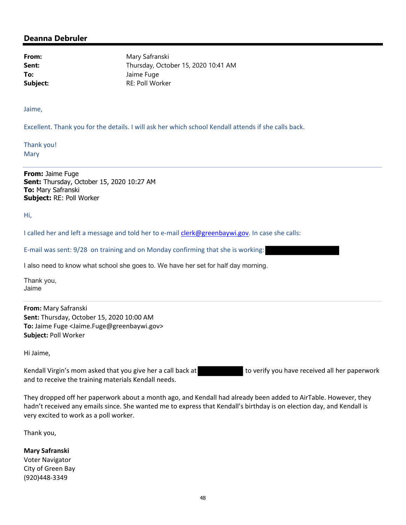**From:** Mary Safranski **Sent:** Thursday, October 15, 2020 10:41 AM **To:** Jaime Fuge **Subject:** RE: Poll Worker

Jaime,

Excellent. Thank you for the details. I will ask her which school Kendall attends if she calls back.

Thank you! Mary

**From:** Jaime Fuge **Sent:** Thursday, October 15, 2020 10:27 AM **To:** Mary Safranski **Subject:** RE: Poll Worker

Hi,

I called her and left a message and told her to e-mail *clerk@greenbaywi.gov*. In case she calls:

E‐mail was sent: 9/28 on training and on Monday confirming that she is working:

I also need to know what school she goes to. We have her set for half day morning.

Thank you, Jaime

**From:** Mary Safranski **Sent:** Thursday, October 15, 2020 10:00 AM **To:** Jaime Fuge <Jaime.Fuge@greenbaywi.gov> **Subject:** Poll Worker

Hi Jaime,

Kendall Virgin's mom asked that you give her a call back at to verify you have received all her paperwork and to receive the training materials Kendall needs.

They dropped off her paperwork about a month ago, and Kendall had already been added to AirTable. However, they hadn't received any emails since. She wanted me to express that Kendall's birthday is on election day, and Kendall is very excited to work as a poll worker.

Thank you,

**Mary Safranski** Voter Navigator City of Green Bay (920)448‐3349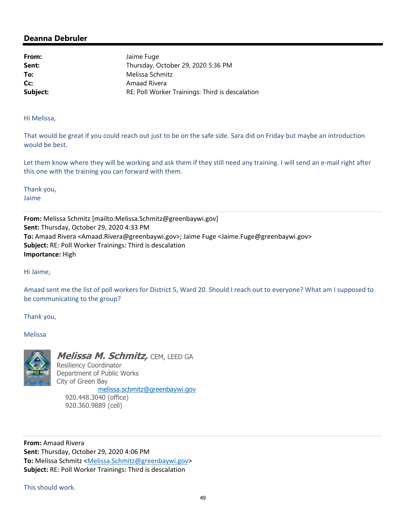From: Jaime Fuge **Sent:** Thursday, October 29, 2020 5:36 PM **To:** Melissa Schmitz Cc: Amaad Rivera **Subject: RE: Poll Worker Trainings: Third is descalation Subject: Research RE: Poll Worker Trainings: Third is descalation** 

Hi Melissa,

That would be great if you could reach out just to be on the safe side. Sara did on Friday but maybe an introduction would be best.

Let them know where they will be working and ask them if they still need any training. I will send an e-mail right after this one with the training you can forward with them.

Thank you, Jaime

**From:** Melissa Schmitz [mailto:Melissa.Schmitz@greenbaywi.gov] **Sent:** Thursday, October 29, 2020 4:33 PM **To:** Amaad Rivera <Amaad.Rivera@greenbaywi.gov>; Jaime Fuge <Jaime.Fuge@greenbaywi.gov> **Subject:** RE: Poll Worker Trainings: Third is descalation **Importance:** High

Hi Jaime,

Amaad sent me the list of poll workers for District 5, Ward 20. Should I reach out to everyone? What am I supposed to be communicating to the group?

Thank you,

Melissa



**Melissa M. Schmitz,** CEM, LEED GA Resiliency Coordinator Department of Public Works City of Green Bay

 melissa.schmitz@greenbaywi.gov 920.448.3040 (office) 920.360.9889 (cell)

**From:** Amaad Rivera **Sent:** Thursday, October 29, 2020 4:06 PM **To:** Melissa Schmitz <Melissa.Schmitz@greenbaywi.gov> **Subject:** RE: Poll Worker Trainings: Third is descalation

This should work.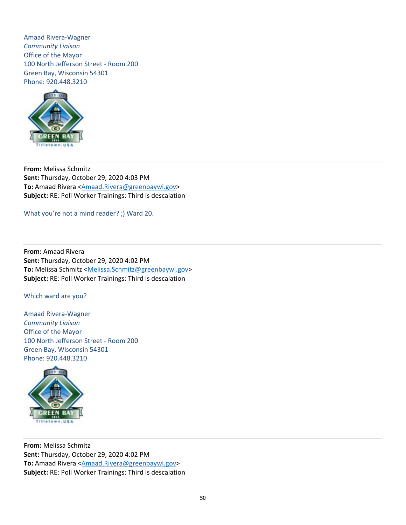Amaad Rivera‐Wagner *Community Liaison* Office of the Mayor 100 North Jefferson Street ‐ Room 200 Green Bay, Wisconsin 54301 Phone: 920.448.3210



**From:** Melissa Schmitz **Sent:** Thursday, October 29, 2020 4:03 PM **To:** Amaad Rivera <Amaad.Rivera@greenbaywi.gov> **Subject:** RE: Poll Worker Trainings: Third is descalation

What you're not a mind reader? ;) Ward 20.

**From:** Amaad Rivera **Sent:** Thursday, October 29, 2020 4:02 PM **To:** Melissa Schmitz <Melissa.Schmitz@greenbaywi.gov> **Subject:** RE: Poll Worker Trainings: Third is descalation

Which ward are you?

Amaad Rivera‐Wagner *Community Liaison* Office of the Mayor 100 North Jefferson Street ‐ Room 200 Green Bay, Wisconsin 54301 Phone: 920.448.3210



**From:** Melissa Schmitz **Sent:** Thursday, October 29, 2020 4:02 PM **To:** Amaad Rivera <Amaad.Rivera@greenbaywi.gov> **Subject:** RE: Poll Worker Trainings: Third is descalation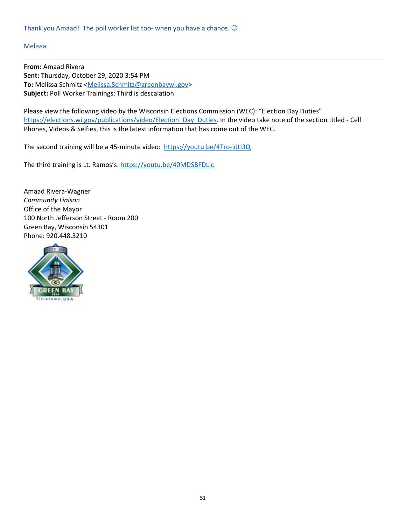#### Melissa

**From:** Amaad Rivera **Sent:** Thursday, October 29, 2020 3:54 PM To: Melissa Schmitz <Melissa.Schmitz@greenbaywi.gov> **Subject:** Poll Worker Trainings: Third is descalation

Please view the following video by the Wisconsin Elections Commission (WEC): "Election Day Duties" https://elections.wi.gov/publications/video/Election Day Duties. In the video take note of the section titled - Cell Phones, Videos & Selfies, this is the latest information that has come out of the WEC.

The second training will be a 45-minute video: https://youtu.be/4Tro-jdtl3Q

The third training is Lt. Ramos's: https://youtu.be/40MDSBFDLIc

Amaad Rivera‐Wagner *Community Liaison* Office of the Mayor 100 North Jefferson Street ‐ Room 200 Green Bay, Wisconsin 54301 Phone: 920.448.3210

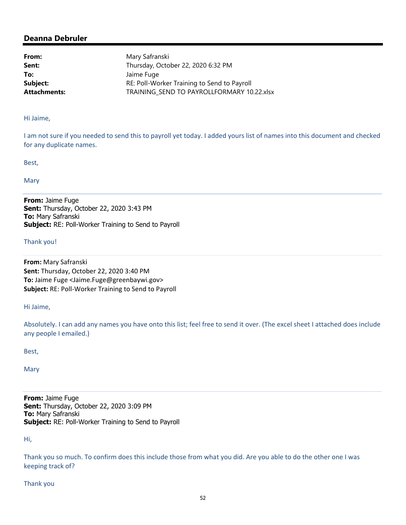| Mary Safranski                              |
|---------------------------------------------|
| Thursday, October 22, 2020 6:32 PM          |
| Jaime Fuge                                  |
| RE: Poll-Worker Training to Send to Payroll |
| TRAINING SEND TO PAYROLLFORMARY 10.22.xlsx  |
|                                             |

Hi Jaime,

I am not sure if you needed to send this to payroll yet today. I added yours list of names into this document and checked for any duplicate names.

Best,

Mary

**From:** Jaime Fuge **Sent:** Thursday, October 22, 2020 3:43 PM **To:** Mary Safranski **Subject:** RE: Poll-Worker Training to Send to Payroll

Thank you!

**From:** Mary Safranski **Sent:** Thursday, October 22, 2020 3:40 PM **To:** Jaime Fuge <Jaime.Fuge@greenbaywi.gov> **Subject:** RE: Poll‐Worker Training to Send to Payroll

Hi Jaime,

Absolutely. I can add any names you have onto this list; feel free to send it over. (The excel sheet I attached does include any people I emailed.)

Best,

Mary

**From:** Jaime Fuge **Sent:** Thursday, October 22, 2020 3:09 PM **To:** Mary Safranski **Subject:** RE: Poll-Worker Training to Send to Payroll

Hi,

Thank you so much. To confirm does this include those from what you did. Are you able to do the other one I was keeping track of?

Thank you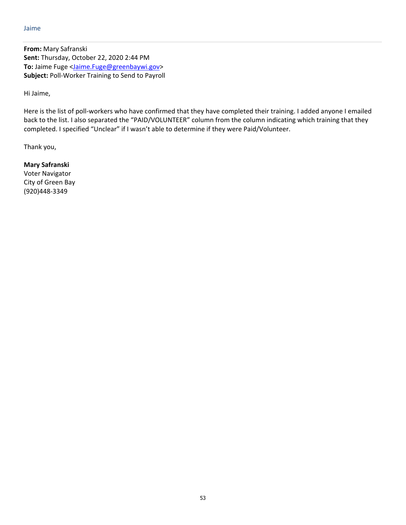**From:** Mary Safranski **Sent:** Thursday, October 22, 2020 2:44 PM To: Jaime Fuge <Jaime.Fuge@greenbaywi.gov> **Subject:** Poll‐Worker Training to Send to Payroll

Hi Jaime,

Here is the list of poll-workers who have confirmed that they have completed their training. I added anyone I emailed back to the list. I also separated the "PAID/VOLUNTEER" column from the column indicating which training that they completed. I specified "Unclear" if I wasn't able to determine if they were Paid/Volunteer.

Thank you,

**Mary Safranski** Voter Navigator City of Green Bay (920)448‐3349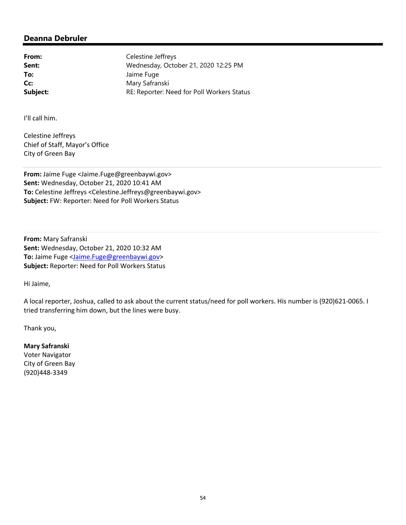From: Celestine Jeffreys **Sent:** Wednesday, October 21, 2020 12:25 PM **To:** Jaime Fuge Cc: Mary Safranski **Subject:** RE: Reporter: Need for Poll Workers Status

I'll call him.

Celestine Jeffreys Chief of Staff, Mayor's Office City of Green Bay

**From:** Jaime Fuge <Jaime.Fuge@greenbaywi.gov> **Sent:** Wednesday, October 21, 2020 10:41 AM **To:** Celestine Jeffreys <Celestine.Jeffreys@greenbaywi.gov> **Subject:** FW: Reporter: Need for Poll Workers Status

**From:** Mary Safranski **Sent:** Wednesday, October 21, 2020 10:32 AM **To:** Jaime Fuge <Jaime.Fuge@greenbaywi.gov> **Subject:** Reporter: Need for Poll Workers Status

Hi Jaime,

A local reporter, Joshua, called to ask about the current status/need for poll workers. His number is (920)621‐0065. I tried transferring him down, but the lines were busy.

Thank you,

**Mary Safranski** Voter Navigator City of Green Bay (920)448‐3349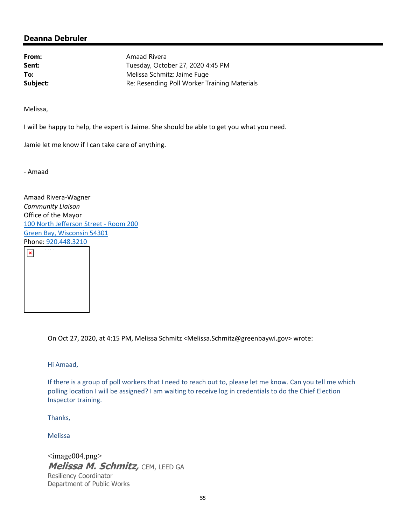**From:** Amaad Rivera **Sent:** Tuesday, October 27, 2020 4:45 PM **To:** Melissa Schmitz; Jaime Fuge **Subject:** Re: Resending Poll Worker Training Materials

Melissa,

I will be happy to help, the expert is Jaime. She should be able to get you what you need.

Jamie let me know if I can take care of anything.

‐ Amaad

 $\pmb{\times}$ 

Amaad Rivera‐Wagner *Community Liaison* Office of the Mayor 100 North Jefferson Street ‐ Room 200 Green Bay, Wisconsin 54301 Phone: 920.448.3210

On Oct 27, 2020, at 4:15 PM, Melissa Schmitz <Melissa.Schmitz@greenbaywi.gov> wrote:

Hi Amaad,

If there is a group of poll workers that I need to reach out to, please let me know. Can you tell me which polling location I will be assigned? I am waiting to receive log in credentials to do the Chief Election Inspector training.

Thanks,

Melissa

 $\langle \text{image}004.\text{png} \rangle$ **Melissa M. Schmitz,** CEM, LEED GA Resiliency Coordinator Department of Public Works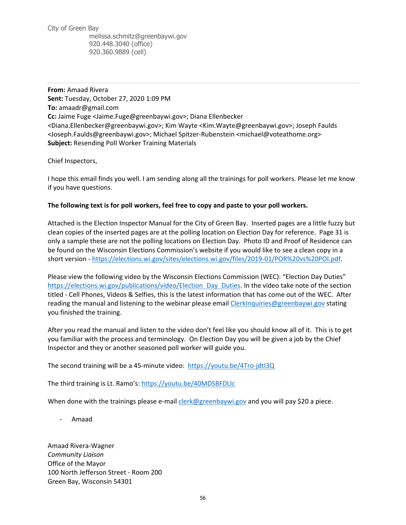City of Green Bay melissa.schmitz@greenbaywi.gov 920.448.3040 (office) 920.360.9889 (cell)

**From:** Amaad Rivera **Sent:** Tuesday, October 27, 2020 1:09 PM **To:** amaadr@gmail.com **Cc:** Jaime Fuge <Jaime.Fuge@greenbaywi.gov>; Diana Ellenbecker <Diana.Ellenbecker@greenbaywi.gov>; Kim Wayte <Kim.Wayte@greenbaywi.gov>; Joseph Faulds <Joseph.Faulds@greenbaywi.gov>; Michael Spitzer‐Rubenstein <michael@voteathome.org> **Subject:** Resending Poll Worker Training Materials

Chief Inspectors,

I hope this email finds you well. I am sending along all the trainings for poll workers. Please let me know if you have questions.

#### **The following text is for poll workers, feel free to copy and paste to your poll workers.**

Attached is the Election Inspector Manual for the City of Green Bay. Inserted pages are a little fuzzy but clean copies of the inserted pages are at the polling location on Election Day for reference. Page 31 is only a sample these are not the polling locations on Election Day. Photo ID and Proof of Residence can be found on the Wisconsin Elections Commission's website if you would like to see a clean copy in a short version - https://elections.wi.gov/sites/elections.wi.gov/files/2019-01/POR%20vs%20POI.pdf.

Please view the following video by the Wisconsin Elections Commission (WEC): "Election Day Duties" https://elections.wi.gov/publications/video/Election Day Duties. In the video take note of the section titled ‐ Cell Phones, Videos & Selfies, this is the latest information that has come out of the WEC. After reading the manual and listening to the webinar please email ClerkInquiries@greenbaywi.gov stating you finished the training.

After you read the manual and listen to the video don't feel like you should know all of it. This is to get you familiar with the process and terminology. On Election Day you will be given a job by the Chief Inspector and they or another seasoned poll worker will guide you.

The second training will be a 45‐minute video: https://youtu.be/4Tro‐jdtI3Q

The third training is Lt. Ramo's: https://youtu.be/40MDSBFDLIc

When done with the trainings please e-mail *clerk@greenbaywi.gov* and you will pay \$20 a piece.

‐ Amaad

Amaad Rivera‐Wagner *Community Liaison* Office of the Mayor 100 North Jefferson Street ‐ Room 200 Green Bay, Wisconsin 54301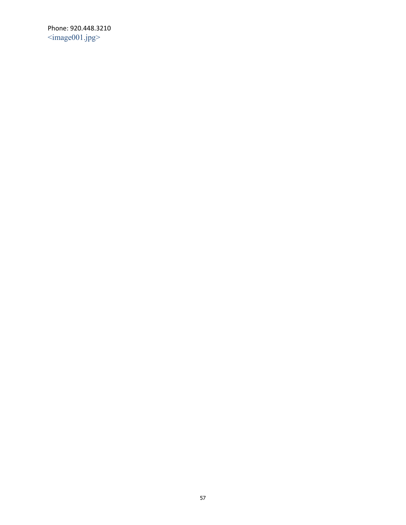Phone: 920.448.3210  $\leq$ image001.jpg>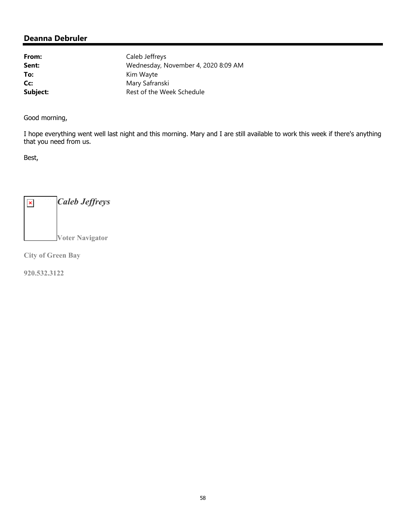From: Caleb Jeffreys **Sent:** Wednesday, November 4, 2020 8:09 AM To: Kim Wayte Cc: Mary Safranski **Subject:** Rest of the Week Schedule

Good morning,

I hope everything went well last night and this morning. Mary and I are still available to work this week if there's anything that you need from us.

Best,

*Caleb Jeffreys*  $\pmb{\times}$ **Voter Navigator** 

**City of Green Bay** 

**920.532.3122**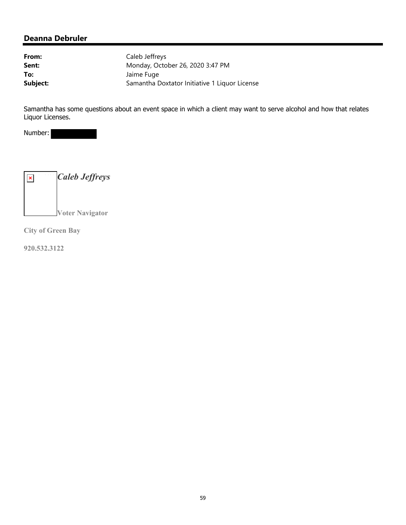| From:    | Caleb Jeffreys                                |
|----------|-----------------------------------------------|
| Sent:    | Monday, October 26, 2020 3:47 PM              |
| To:      | Jaime Fuge                                    |
| Subject: | Samantha Doxtator Initiative 1 Liquor License |

Samantha has some questions about an event space in which a client may want to serve alcohol and how that relates Liquor Licenses.

Number:



**City of Green Bay** 

**920.532.3122**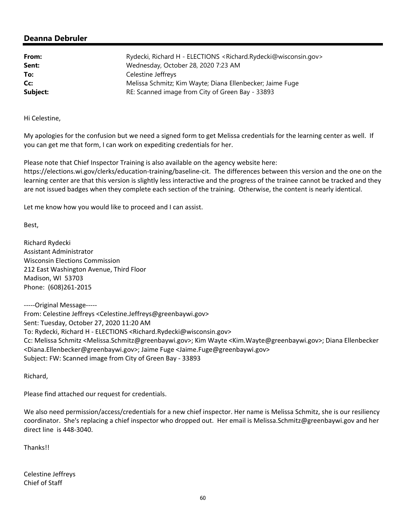| From:    | Rydecki, Richard H - ELECTIONS <richard.rydecki@wisconsin.gov></richard.rydecki@wisconsin.gov> |
|----------|------------------------------------------------------------------------------------------------|
| Sent:    | Wednesday, October 28, 2020 7:23 AM                                                            |
| To:      | Celestine Jeffreys                                                                             |
| Cc:      | Melissa Schmitz; Kim Wayte; Diana Ellenbecker; Jaime Fuge                                      |
| Subject: | RE: Scanned image from City of Green Bay - 33893                                               |

Hi Celestine,

My apologies for the confusion but we need a signed form to get Melissa credentials for the learning center as well. If you can get me that form, I can work on expediting credentials for her.

Please note that Chief Inspector Training is also available on the agency website here: https://elections.wi.gov/clerks/education‐training/baseline‐cit. The differences between this version and the one on the learning center are that this version is slightly less interactive and the progress of the trainee cannot be tracked and they are not issued badges when they complete each section of the training. Otherwise, the content is nearly identical.

Let me know how you would like to proceed and I can assist.

Best,

Richard Rydecki Assistant Administrator Wisconsin Elections Commission 212 East Washington Avenue, Third Floor Madison, WI 53703 Phone: (608)261‐2015

‐‐‐‐‐Original Message‐‐‐‐‐ From: Celestine Jeffreys <Celestine.Jeffreys@greenbaywi.gov> Sent: Tuesday, October 27, 2020 11:20 AM To: Rydecki, Richard H ‐ ELECTIONS <Richard.Rydecki@wisconsin.gov> Cc: Melissa Schmitz <Melissa.Schmitz@greenbaywi.gov>; Kim Wayte <Kim.Wayte@greenbaywi.gov>; Diana Ellenbecker <Diana.Ellenbecker@greenbaywi.gov>; Jaime Fuge <Jaime.Fuge@greenbaywi.gov> Subject: FW: Scanned image from City of Green Bay ‐ 33893

Richard,

Please find attached our request for credentials.

We also need permission/access/credentials for a new chief inspector. Her name is Melissa Schmitz, she is our resiliency coordinator. She's replacing a chief inspector who dropped out. Her email is Melissa.Schmitz@greenbaywi.gov and her direct line is 448‐3040.

Thanks!!

Celestine Jeffreys Chief of Staff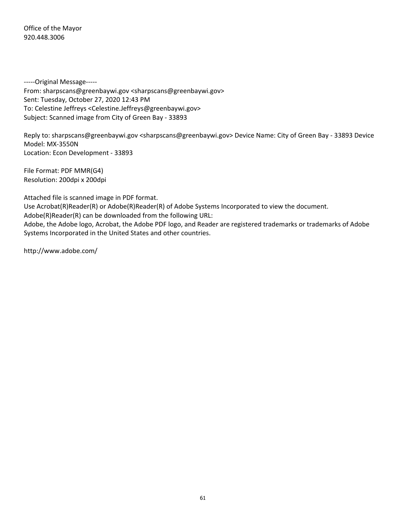Office of the Mayor 920.448.3006

‐‐‐‐‐Original Message‐‐‐‐‐ From: sharpscans@greenbaywi.gov <sharpscans@greenbaywi.gov> Sent: Tuesday, October 27, 2020 12:43 PM To: Celestine Jeffreys <Celestine.Jeffreys@greenbaywi.gov> Subject: Scanned image from City of Green Bay ‐ 33893

Reply to: sharpscans@greenbaywi.gov <sharpscans@greenbaywi.gov> Device Name: City of Green Bay ‐ 33893 Device Model: MX‐3550N Location: Econ Development ‐ 33893

File Format: PDF MMR(G4) Resolution: 200dpi x 200dpi

Attached file is scanned image in PDF format.

Use Acrobat(R)Reader(R) or Adobe(R)Reader(R) of Adobe Systems Incorporated to view the document.

Adobe(R)Reader(R) can be downloaded from the following URL:

Adobe, the Adobe logo, Acrobat, the Adobe PDF logo, and Reader are registered trademarks or trademarks of Adobe Systems Incorporated in the United States and other countries.

http://www.adobe.com/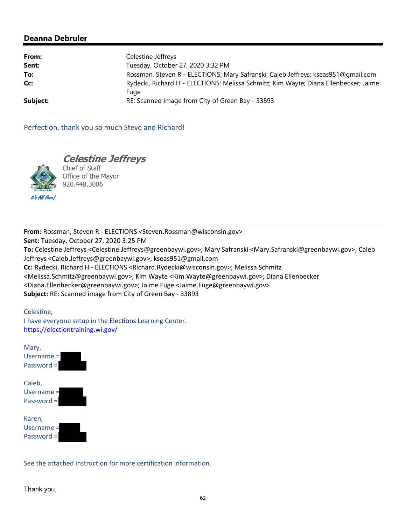| From:    | Celestine Jeffreys                                                                   |  |
|----------|--------------------------------------------------------------------------------------|--|
| Sent:    | Tuesday, October 27, 2020 3:32 PM                                                    |  |
| To:      | Rossman, Steven R - ELECTIONS; Mary Safranski; Caleb Jeffreys; kseas951@gmail.com    |  |
| Cc:      | Rydecki, Richard H - ELECTIONS; Melissa Schmitz; Kim Wayte; Diana Ellenbecker; Jaime |  |
|          | Fuge                                                                                 |  |
| Subject: | RE: Scanned image from City of Green Bay - 33893                                     |  |

Perfection, thank you so much Steve and Richard!



Chief of Staff Office of the Mayor 920.448.3006

**Celestine Jeffreys** 

**From:** Rossman, Steven R ‐ ELECTIONS <Steven.Rossman@wisconsin.gov> **Sent:** Tuesday, October 27, 2020 3:25 PM **To:** Celestine Jeffreys <Celestine.Jeffreys@greenbaywi.gov>; Mary Safranski <Mary.Safranski@greenbaywi.gov>; Caleb Jeffreys <Caleb.Jeffreys@greenbaywi.gov>; kseas951@gmail.com **Cc:** Rydecki, Richard H ‐ ELECTIONS <Richard.Rydecki@wisconsin.gov>; Melissa Schmitz <Melissa.Schmitz@greenbaywi.gov>; Kim Wayte <Kim.Wayte@greenbaywi.gov>; Diana Ellenbecker <Diana.Ellenbecker@greenbaywi.gov>; Jaime Fuge <Jaime.Fuge@greenbaywi.gov> **Subject:** RE: Scanned image from City of Green Bay ‐ 33893

Celestine, I have everyone setup in the Elections Learning Center. https://electiontraining.wi.gov/



See the attached instruction for more certification information.

Thank you,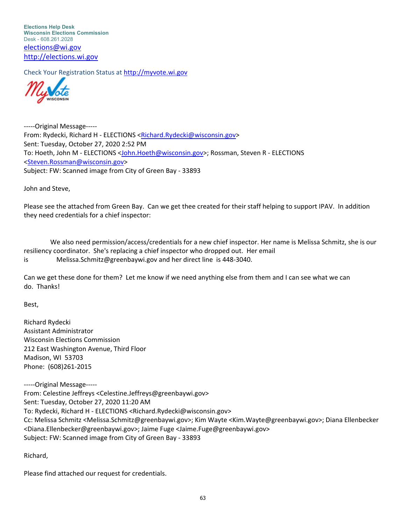**Elections Help Desk Wisconsin Elections Commission** Desk - 608.261.2028 elections@wi.gov http://elections.wi.gov

Check Your Registration Status at http://myvote.wi.gov



‐‐‐‐‐Original Message‐‐‐‐‐ From: Rydecki, Richard H ‐ ELECTIONS <Richard.Rydecki@wisconsin.gov> Sent: Tuesday, October 27, 2020 2:52 PM To: Hoeth, John M ‐ ELECTIONS <John.Hoeth@wisconsin.gov>; Rossman, Steven R ‐ ELECTIONS <Steven.Rossman@wisconsin.gov> Subject: FW: Scanned image from City of Green Bay ‐ 33893

John and Steve,

Please see the attached from Green Bay. Can we get thee created for their staff helping to support IPAV. In addition they need credentials for a chief inspector:

 We also need permission/access/credentials for a new chief inspector. Her name is Melissa Schmitz, she is our resiliency coordinator. She's replacing a chief inspector who dropped out. Her email is Melissa.Schmitz@greenbaywi.gov and her direct line is 448‐3040.

Can we get these done for them? Let me know if we need anything else from them and I can see what we can do. Thanks!

Best,

Richard Rydecki Assistant Administrator Wisconsin Elections Commission 212 East Washington Avenue, Third Floor Madison, WI 53703 Phone: (608)261‐2015

‐‐‐‐‐Original Message‐‐‐‐‐ From: Celestine Jeffreys <Celestine.Jeffreys@greenbaywi.gov> Sent: Tuesday, October 27, 2020 11:20 AM To: Rydecki, Richard H ‐ ELECTIONS <Richard.Rydecki@wisconsin.gov> Cc: Melissa Schmitz <Melissa.Schmitz@greenbaywi.gov>; Kim Wayte <Kim.Wayte@greenbaywi.gov>; Diana Ellenbecker <Diana.Ellenbecker@greenbaywi.gov>; Jaime Fuge <Jaime.Fuge@greenbaywi.gov> Subject: FW: Scanned image from City of Green Bay ‐ 33893

Richard,

Please find attached our request for credentials.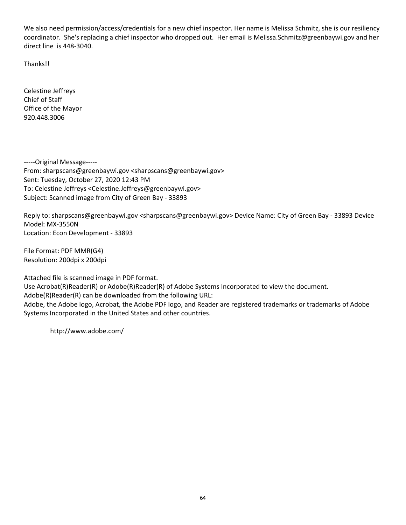We also need permission/access/credentials for a new chief inspector. Her name is Melissa Schmitz, she is our resiliency coordinator. She's replacing a chief inspector who dropped out. Her email is Melissa.Schmitz@greenbaywi.gov and her direct line is 448‐3040.

Thanks!!

Celestine Jeffreys Chief of Staff Office of the Mayor 920.448.3006

‐‐‐‐‐Original Message‐‐‐‐‐ From: sharpscans@greenbaywi.gov <sharpscans@greenbaywi.gov> Sent: Tuesday, October 27, 2020 12:43 PM To: Celestine Jeffreys <Celestine.Jeffreys@greenbaywi.gov> Subject: Scanned image from City of Green Bay ‐ 33893

Reply to: sharpscans@greenbaywi.gov <sharpscans@greenbaywi.gov> Device Name: City of Green Bay ‐ 33893 Device Model: MX‐3550N Location: Econ Development ‐ 33893

File Format: PDF MMR(G4) Resolution: 200dpi x 200dpi

Attached file is scanned image in PDF format.

Use Acrobat(R)Reader(R) or Adobe(R)Reader(R) of Adobe Systems Incorporated to view the document.

Adobe(R)Reader(R) can be downloaded from the following URL:

Adobe, the Adobe logo, Acrobat, the Adobe PDF logo, and Reader are registered trademarks or trademarks of Adobe Systems Incorporated in the United States and other countries.

http://www.adobe.com/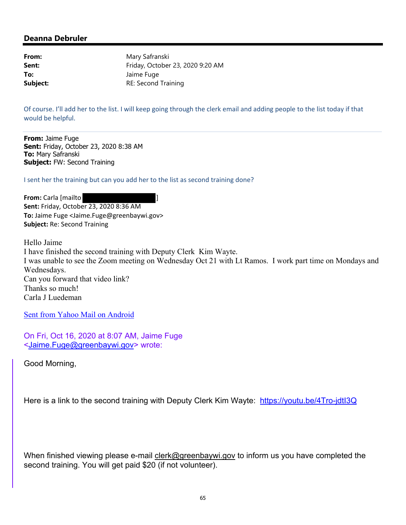**From:** Mary Safranski **Sent:** Friday, October 23, 2020 9:20 AM **To:** Jaime Fuge **Subject:** RE: Second Training

Of course. I'll add her to the list. I will keep going through the clerk email and adding people to the list today if that would be helpful.

**From:** Jaime Fuge **Sent:** Friday, October 23, 2020 8:38 AM **To:** Mary Safranski **Subject:** FW: Second Training

I sent her the training but can you add her to the list as second training done?

**From:** Carla [mailto ] **Sent:** Friday, October 23, 2020 8:36 AM **To:** Jaime Fuge <Jaime.Fuge@greenbaywi.gov> **Subject:** Re: Second Training

Hello Jaime I have finished the second training with Deputy Clerk Kim Wayte. I was unable to see the Zoom meeting on Wednesday Oct 21 with Lt Ramos. I work part time on Mondays and Wednesdays. Can you forward that video link? Thanks so much! Carla J Luedeman

Sent from Yahoo Mail on Android

On Fri, Oct 16, 2020 at 8:07 AM, Jaime Fuge <Jaime.Fuge@greenbaywi.gov> wrote:

Good Morning,

Here is a link to the second training with Deputy Clerk Kim Wayte: https://youtu.be/4Tro-jdtl3Q

When finished viewing please e-mail clerk@greenbaywi.gov to inform us you have completed the second training. You will get paid \$20 (if not volunteer).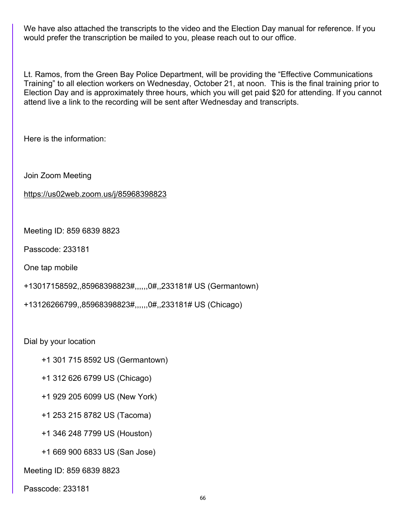We have also attached the transcripts to the video and the Election Day manual for reference. If you would prefer the transcription be mailed to you, please reach out to our office.

Lt. Ramos, from the Green Bay Police Department, will be providing the "Effective Communications Training" to all election workers on Wednesday, October 21, at noon. This is the final training prior to Election Day and is approximately three hours, which you will get paid \$20 for attending. If you cannot attend live a link to the recording will be sent after Wednesday and transcripts.

Here is the information:

Join Zoom Meeting

https://us02web.zoom.us/j/85968398823

Meeting ID: 859 6839 8823

Passcode: 233181

One tap mobile

```
+13017158592,,85968398823#,,,,,,0#,,233181# US (Germantown)
```
+13126266799,,85968398823#,,,,,,0#,,233181# US (Chicago)

Dial by your location

- +1 301 715 8592 US (Germantown)
- +1 312 626 6799 US (Chicago)
- +1 929 205 6099 US (New York)
- +1 253 215 8782 US (Tacoma)
- +1 346 248 7799 US (Houston)
- +1 669 900 6833 US (San Jose)

Meeting ID: 859 6839 8823

Passcode: 233181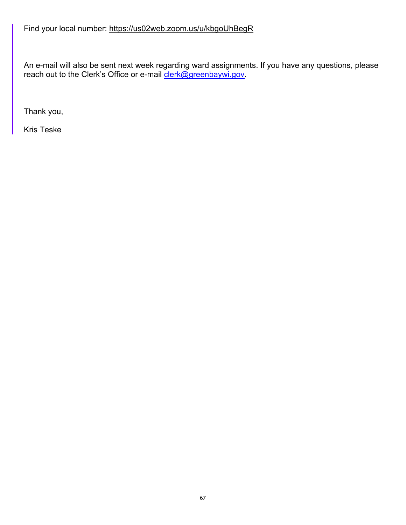## Find your local number: https://us02web.zoom.us/u/kbgoUhBegR

An e-mail will also be sent next week regarding ward assignments. If you have any questions, please reach out to the Clerk's Office or e-mail clerk@greenbaywi.gov.

Thank you,

Kris Teske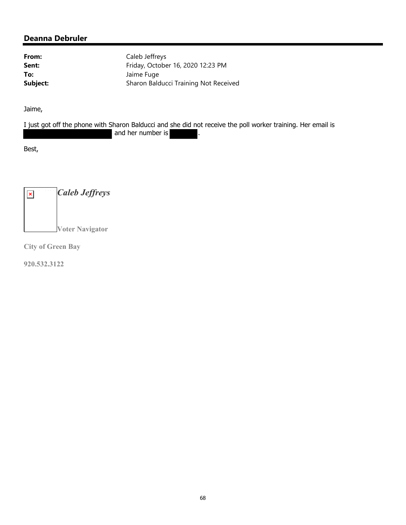From: Caleb Jeffreys **Sent:** Friday, October 16, 2020 12:23 PM **To:** Jaime Fuge **Subject:** Sharon Balducci Training Not Received

Jaime,

I just got off the phone with Sharon Balducci and she did not receive the poll worker training. Her email is and her number is

Best,

*Caleb Jeffreys*  $\pmb{\times}$ **Voter Navigator** 

**City of Green Bay** 

**920.532.3122**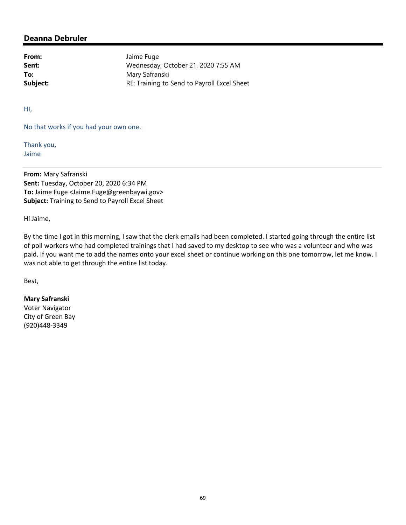From: Jaime Fuge **Sent:** Wednesday, October 21, 2020 7:55 AM To: Mary Safranski **Subject:** RE: Training to Send to Payroll Excel Sheet

HI,

No that works if you had your own one.

Thank you, Jaime

**From:** Mary Safranski **Sent:** Tuesday, October 20, 2020 6:34 PM **To:** Jaime Fuge <Jaime.Fuge@greenbaywi.gov> **Subject:** Training to Send to Payroll Excel Sheet

Hi Jaime,

By the time I got in this morning, I saw that the clerk emails had been completed. I started going through the entire list of poll workers who had completed trainings that I had saved to my desktop to see who was a volunteer and who was paid. If you want me to add the names onto your excel sheet or continue working on this one tomorrow, let me know. I was not able to get through the entire list today.

Best,

#### **Mary Safranski**

Voter Navigator City of Green Bay (920)448‐3349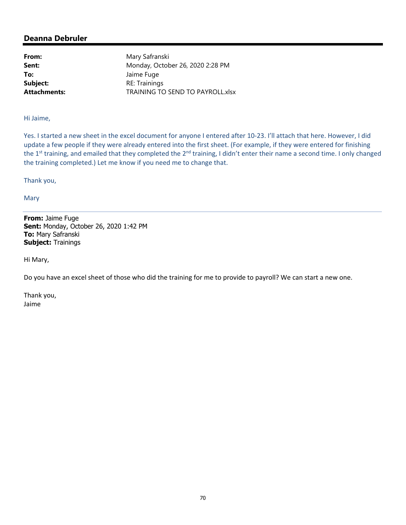**To:** Jaime Fuge

From: Mary Safranski **Sent:** Monday, October 26, 2020 2:28 PM **Subject:** RE: Trainings **Attachments:** TRAINING TO SEND TO PAYROLL.xlsx

Hi Jaime,

Yes. I started a new sheet in the excel document for anyone I entered after 10‐23. I'll attach that here. However, I did update a few people if they were already entered into the first sheet. (For example, if they were entered for finishing the 1<sup>st</sup> training, and emailed that they completed the 2<sup>nd</sup> training, I didn't enter their name a second time. I only changed the training completed.) Let me know if you need me to change that.

Thank you,

Mary

**From:** Jaime Fuge **Sent:** Monday, October 26, 2020 1:42 PM **To:** Mary Safranski **Subject:** Trainings

Hi Mary,

Do you have an excel sheet of those who did the training for me to provide to payroll? We can start a new one.

Thank you, Jaime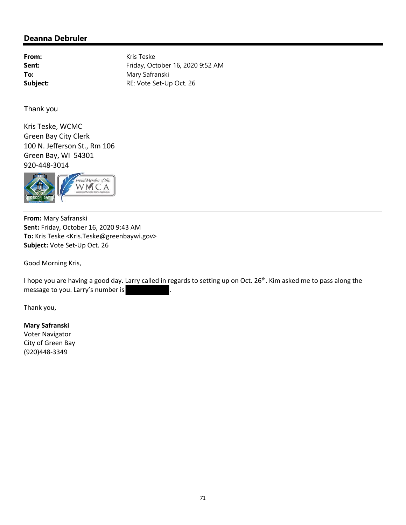From: Kris Teske **Sent:** Friday, October 16, 2020 9:52 AM To: Mary Safranski **Subject:** RE: Vote Set-Up Oct. 26

Thank you

Kris Teske, WCMC Green Bay City Clerk 100 N. Jefferson St., Rm 106 Green Bay, WI 54301 920‐448‐3014



**From:** Mary Safranski **Sent:** Friday, October 16, 2020 9:43 AM **To:** Kris Teske <Kris.Teske@greenbaywi.gov> **Subject:** Vote Set‐Up Oct. 26

Good Morning Kris,

I hope you are having a good day. Larry called in regards to setting up on Oct. 26<sup>th</sup>. Kim asked me to pass along the message to you. Larry's number is

Thank you,

#### **Mary Safranski**

Voter Navigator City of Green Bay (920)448‐3349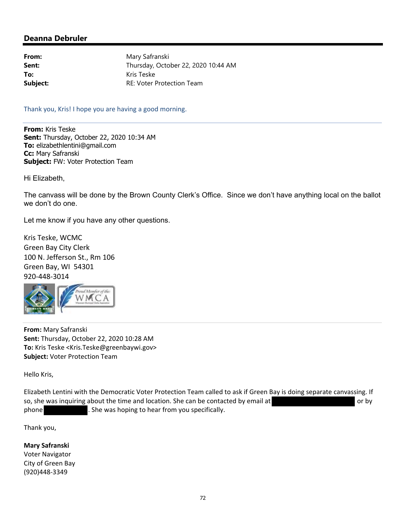From: Mary Safranski **Sent:** Thursday, October 22, 2020 10:44 AM **To:** Kris Teske **Subject:** RE: Voter Protection Team

Thank you, Kris! I hope you are having a good morning.

**From:** Kris Teske **Sent:** Thursday, October 22, 2020 10:34 AM **To:** elizabethlentini@gmail.com **Cc:** Mary Safranski **Subject:** FW: Voter Protection Team

Hi Elizabeth,

The canvass will be done by the Brown County Clerk's Office. Since we don't have anything local on the ballot we don't do one.

Let me know if you have any other questions.

Kris Teske, WCMC Green Bay City Clerk 100 N. Jefferson St., Rm 106 Green Bay, WI 54301 920‐448‐3014



**From:** Mary Safranski **Sent:** Thursday, October 22, 2020 10:28 AM **To:** Kris Teske <Kris.Teske@greenbaywi.gov> **Subject:** Voter Protection Team

Hello Kris,

Elizabeth Lentini with the Democratic Voter Protection Team called to ask if Green Bay is doing separate canvassing. If so, she was inquiring about the time and location. She can be contacted by email at or by or by phone **.** She was hoping to hear from you specifically.

Thank you,

**Mary Safranski** Voter Navigator City of Green Bay (920)448‐3349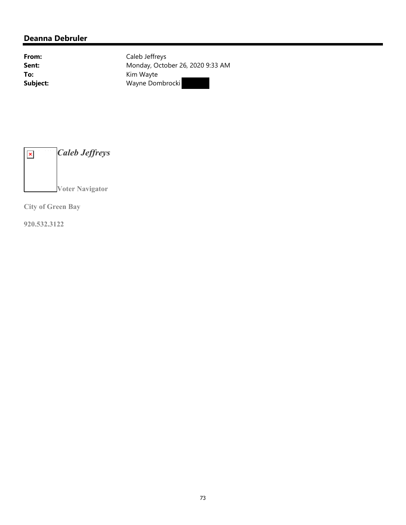From: Caleb Jeffreys **Sent:** Monday, October 26, 2020 9:33 AM **To:** Kim Wayte **Subject:** Wayne Dombrocki

*Caleb Jeffreys*  $\pmb{\times}$ **Voter Navigator** 

**City of Green Bay** 

**920.532.3122**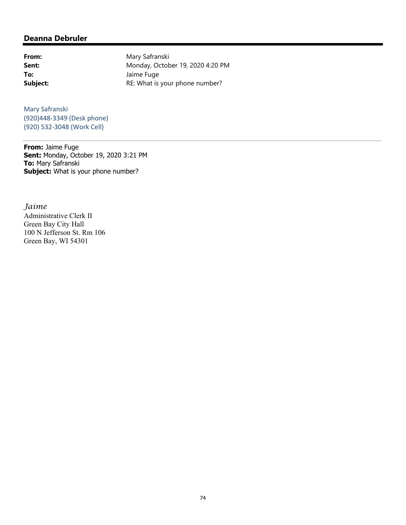### **Deanna Debruler**

From: Mary Safranski **Sent:** Monday, October 19, 2020 4:20 PM **To:** Jaime Fuge **Subject:** RE: What is your phone number?

Mary Safranski (920)448‐3349 (Desk phone) (920) 532‐3048 (Work Cell)

**From:** Jaime Fuge **Sent:** Monday, October 19, 2020 3:21 PM **To:** Mary Safranski **Subject:** What is your phone number?

*Jaime*  Administrative Clerk II Green Bay City Hall 100 N Jefferson St. Rm 106 Green Bay, WI 54301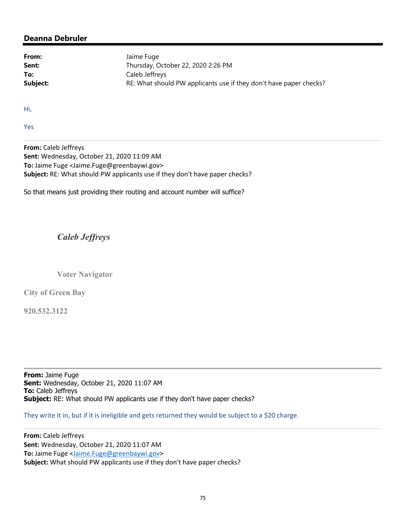### **Deanna Debruler**

From: Jaime Fuge **Sent:** Thursday, October 22, 2020 2:26 PM **To:** Caleb Jeffreys **Subject:** RE: What should PW applicants use if they don't have paper checks?

Hi,

Yes

**From:** Caleb Jeffreys **Sent:** Wednesday, October 21, 2020 11:09 AM **To:** Jaime Fuge <Jaime.Fuge@greenbaywi.gov> **Subject:** RE: What should PW applicants use if they don't have paper checks?

So that means just providing their routing and account number will suffice?

## *Caleb Jeffreys*

**Voter Navigator** 

**City of Green Bay** 

**920.532.3122**

**From:** Jaime Fuge **Sent:** Wednesday, October 21, 2020 11:07 AM **To:** Caleb Jeffreys **Subject:** RE: What should PW applicants use if they don't have paper checks?

They write it in, but if it is ineligible and gets returned they would be subject to a \$20 charge.

**From:** Caleb Jeffreys **Sent:** Wednesday, October 21, 2020 11:07 AM **To:** Jaime Fuge <Jaime.Fuge@greenbaywi.gov> **Subject:** What should PW applicants use if they don't have paper checks?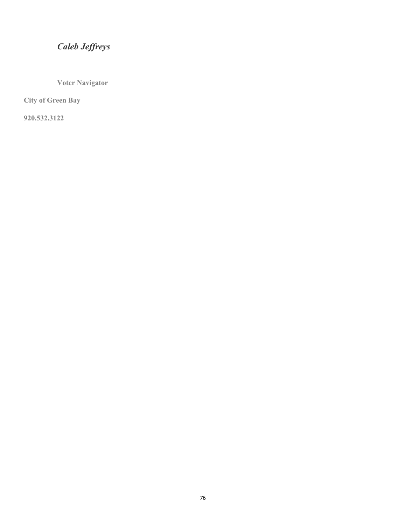# *Caleb Jeffreys*

**Voter Navigator** 

**City of Green Bay** 

**920.532.3122**